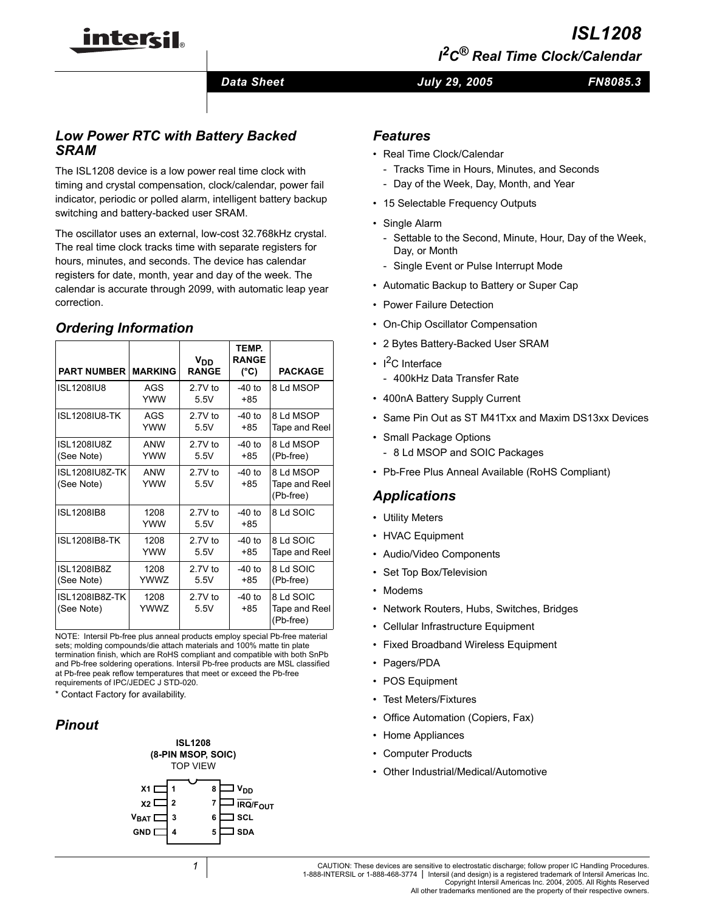# *ISL1208 I 2C® Real Time Clock/Calendar*

*Data Sheet July 29, 2005*

```
FN8085.3
```
# *Low Power RTC with Battery Backed SRAM*

intersil

The ISL1208 device is a low power real time clock with timing and crystal compensation, clock/calendar, power fail indicator, periodic or polled alarm, intelligent battery backup switching and battery-backed user SRAM.

The oscillator uses an external, low-cost 32.768kHz crystal. The real time clock tracks time with separate registers for hours, minutes, and seconds. The device has calendar registers for date, month, year and day of the week. The calendar is accurate through 2099, with automatic leap year correction.

### *Ordering Information*

| <b>PART NUMBER</b>               | <b>MARKING</b>    | V <sub>DD</sub><br><b>RANGE</b> | TEMP.<br><b>RANGE</b><br>(°C) | <b>PACKAGE</b>                          |
|----------------------------------|-------------------|---------------------------------|-------------------------------|-----------------------------------------|
| <b>ISL1208IU8</b>                | AGS<br>YWW        | $2.7V$ to<br>5.5V               | $-40$ to<br>+85               | 8 Ld MSOP                               |
| <b>ISL1208IU8-TK</b>             | AGS<br>YWW        | $2.7V$ to<br>5.5V               | $-40$ to<br>+85               | 8 Ld MSOP<br>Tape and Reel              |
| <b>ISL1208IU8Z</b><br>(See Note) | <b>ANW</b><br>YWW | $2.7V$ to<br>5.5V               | -40 to<br>+85                 | 8 Ld MSOP<br>(Pb-free)                  |
| ISL1208IU8Z-TK<br>(See Note)     | <b>ANW</b><br>YWW | $2.7V$ to<br>5.5V               | $-40$ to<br>+85               | 8 Ld MSOP<br>Tape and Reel<br>(Pb-free) |
| <b>ISL1208IB8</b>                | 1208<br>YWW       | $27V$ to<br>5.5V                | $-40$ to<br>+85               | 8 Ld SOIC                               |
| ISL1208IB8-TK                    | 1208<br>YWW       | $2.7V$ to<br>5.5V               | $-40$ to<br>+85               | 8 Ld SOIC<br>Tape and Reel              |
| <b>ISL1208IB8Z</b><br>(See Note) | 1208<br>YWW7      | $2.7V$ to<br>5.5V               | $-40$ to<br>+85               | 8 Ld SOIC<br>(Pb-free)                  |
| ISL1208IB8Z-TK<br>(See Note)     | 1208<br>YWW7      | $2.7V$ to<br>5.5V               | $-40$ to<br>$+85$             | 8 Ld SOIC<br>Tape and Reel<br>(Pb-free) |

NOTE: Intersil Pb-free plus anneal products employ special Pb-free material sets; molding compounds/die attach materials and 100% matte tin plate termination finish, which are RoHS compliant and compatible with both SnPb and Pb-free soldering operations. Intersil Pb-free products are MSL classified at Pb-free peak reflow temperatures that meet or exceed the Pb-free requirements of IPC/JEDEC J STD-020.

\* Contact Factory for availability.

# *Pinout*

#### **ISL1208 (8-PIN MSOP, SOIC)** TOP VIEW



### *Features*

- Real Time Clock/Calendar
	- Tracks Time in Hours, Minutes, and Seconds
	- Day of the Week, Day, Month, and Year
- 15 Selectable Frequency Outputs
- Single Alarm
	- Settable to the Second, Minute, Hour, Day of the Week, Day, or Month
	- Single Event or Pulse Interrupt Mode
- Automatic Backup to Battery or Super Cap
- Power Failure Detection
- On-Chip Oscillator Compensation
- 2 Bytes Battery-Backed User SRAM
- $\cdot$  I<sup>2</sup>C Interface
- 400kHz Data Transfer Rate
- 400nA Battery Supply Current
- Same Pin Out as ST M41Txx and Maxim DS13xx Devices
- Small Package Options
	- 8 Ld MSOP and SOIC Packages
- Pb-Free Plus Anneal Available (RoHS Compliant)

### *Applications*

- Utility Meters
- HVAC Equipment
- Audio/Video Components
- Set Top Box/Television
- Modems
- Network Routers, Hubs, Switches, Bridges
- Cellular Infrastructure Equipment
- Fixed Broadband Wireless Equipment
- Pagers/PDA
- POS Equipment
- Test Meters/Fixtures
- Office Automation (Copiers, Fax)
- Home Appliances
- Computer Products
- Other Industrial/Medical/Automotive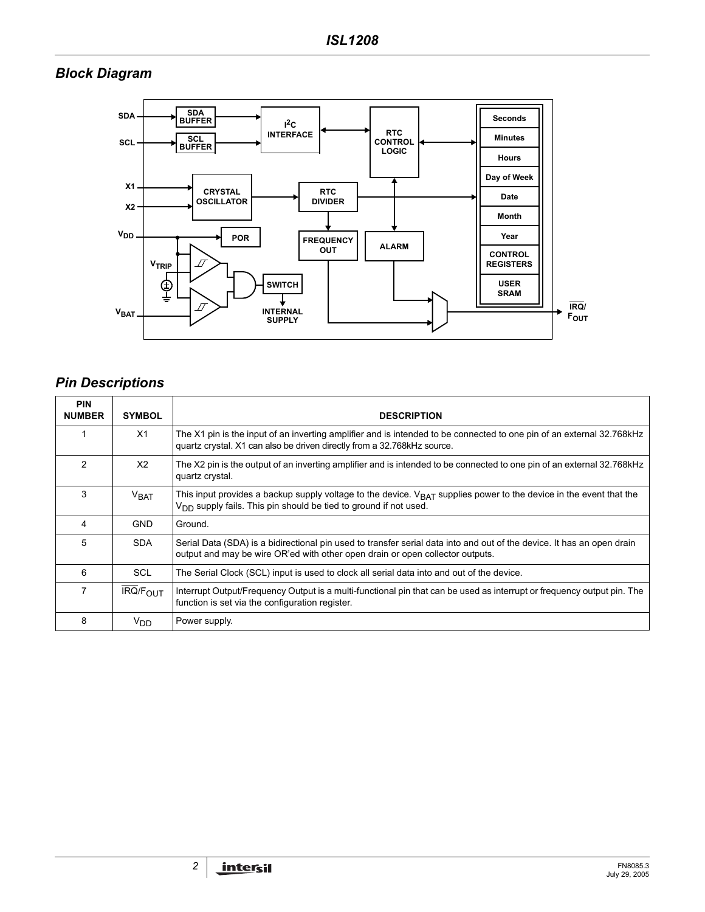# *Block Diagram*



# *Pin Descriptions*

| <b>PIN</b><br><b>NUMBER</b> | <b>SYMBOL</b>              | <b>DESCRIPTION</b>                                                                                                                                                                                      |
|-----------------------------|----------------------------|---------------------------------------------------------------------------------------------------------------------------------------------------------------------------------------------------------|
|                             | X1                         | The X1 pin is the input of an inverting amplifier and is intended to be connected to one pin of an external 32.768kHz<br>quartz crystal. X1 can also be driven directly from a 32.768kHz source.        |
| $\mathcal{P}$               | X <sub>2</sub>             | The X2 pin is the output of an inverting amplifier and is intended to be connected to one pin of an external 32.768kHz<br>quartz crystal.                                                               |
| 3                           | V <sub>BAT</sub>           | This input provides a backup supply voltage to the device. $V_{\text{BAT}}$ supplies power to the device in the event that the<br>$V_{DD}$ supply fails. This pin should be tied to ground if not used. |
| 4                           | <b>GND</b>                 | Ground.                                                                                                                                                                                                 |
| 5                           | <b>SDA</b>                 | Serial Data (SDA) is a bidirectional pin used to transfer serial data into and out of the device. It has an open drain<br>output and may be wire OR'ed with other open drain or open collector outputs. |
| 6                           | <b>SCL</b>                 | The Serial Clock (SCL) input is used to clock all serial data into and out of the device.                                                                                                               |
| 7                           | <b>IRQ/F<sub>OUT</sub></b> | Interrupt Output/Frequency Output is a multi-functional pin that can be used as interrupt or frequency output pin. The<br>function is set via the configuration register.                               |
| 8                           | $V_{DD}$                   | Power supply.                                                                                                                                                                                           |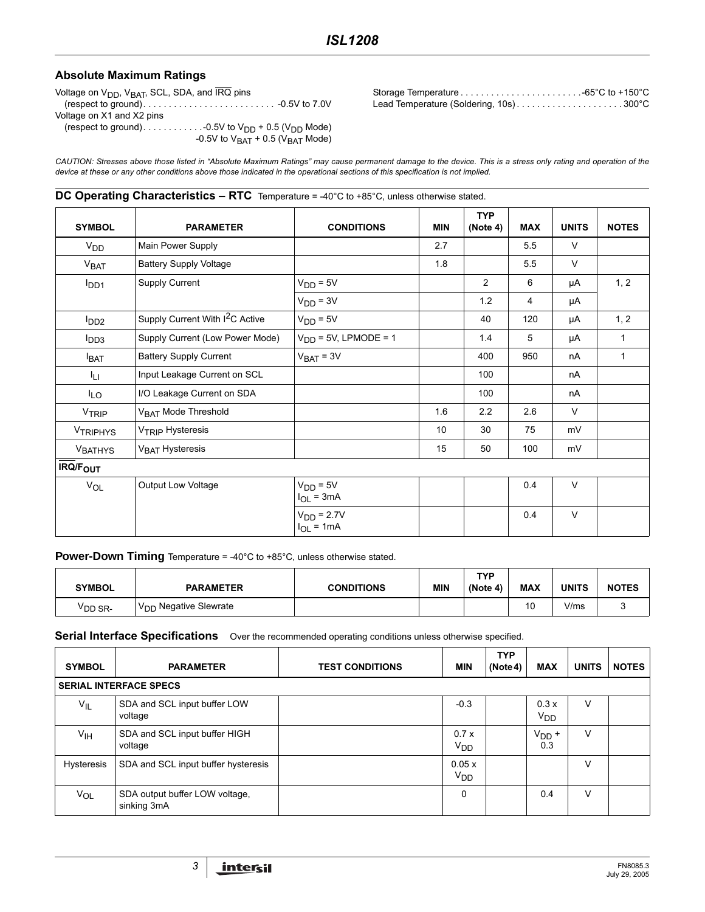#### **Absolute Maximum Ratings**

Voltage on  $V_{DD}$ ,  $V_{BAT}$ , SCL, SDA, and  $\overline{IRQ}$  pins

(respect to ground). . . . . . . . . . . . . . . . . . . . . . . . . . -0.5V to 7.0V Voltage on X1 and X2 pins

(respect to ground). . . . . . . . . . . . . . . . . 0.5V to  $\rm V_{DD}$  + 0.5 ( $\rm V_{DD}$  Mode) -0.5V to  $\rm V_{BAT}$  + 0.5 ( $\rm V_{BAT}$  Mode)

Storage Temperature . . . . . . . . . . . . . . . . . . . . . . . .-65°C to +150°C Lead Temperature (Soldering, 10s)........................300°C

*CAUTION: Stresses above those listed in "Absolute Maximum Ratings" may cause permanent damage to the device. This is a stress only rating and operation of the device at these or any other conditions above those indicated in the operational sections of this specification is not implied.*

#### **DC Operating Characteristics – RTC** Temperature = -40°C to +85°C, unless otherwise stated.

| <b>SYMBOL</b>              | <b>PARAMETER</b>                            | <b>CONDITIONS</b>              | <b>MIN</b> | <b>TYP</b><br>(Note 4) | <b>MAX</b> | <b>UNITS</b> | <b>NOTES</b> |
|----------------------------|---------------------------------------------|--------------------------------|------------|------------------------|------------|--------------|--------------|
| V <sub>DD</sub>            | Main Power Supply                           |                                | 2.7        |                        | 5.5        | $\vee$       |              |
| V <sub>BAT</sub>           | <b>Battery Supply Voltage</b>               |                                | 1.8        |                        | 5.5        | $\vee$       |              |
| I <sub>DD1</sub>           | Supply Current                              | $V_{DD} = 5V$                  |            | $\overline{2}$         | 6          | μA           | 1, 2         |
|                            |                                             | $VDD = 3V$                     |            | 1.2                    | 4          | μA           |              |
| $I_{DD2}$                  | Supply Current With I <sup>2</sup> C Active | $VDD = 5V$                     |            | 40                     | 120        | μA           | 1, 2         |
| $I_{DD3}$                  | Supply Current (Low Power Mode)             | $VDD = 5V$ , LPMODE = 1        |            | 1.4                    | 5          | μA           | $\mathbf{1}$ |
| <b>I</b> BAT               | <b>Battery Supply Current</b>               | $V_{BAT} = 3V$                 |            | 400                    | 950        | nA           | 1            |
| ĪЦ                         | Input Leakage Current on SCL                |                                |            | 100                    |            | nA           |              |
| $I_{LO}$                   | I/O Leakage Current on SDA                  |                                |            | 100                    |            | nA           |              |
| VTRIP                      | V <sub>BAT</sub> Mode Threshold             |                                | 1.6        | 2.2                    | 2.6        | $\vee$       |              |
| <b>VTRIPHYS</b>            | V <sub>TRIP</sub> Hysteresis                |                                | 10         | 30                     | 75         | mV           |              |
| <b>VBATHYS</b>             | V <sub>BAT</sub> Hysteresis                 |                                | 15         | 50                     | 100        | mV           |              |
| <b>IRQ/F<sub>OUT</sub></b> |                                             |                                |            |                        |            |              |              |
| VOL                        | Output Low Voltage                          | $VDD = 5V$<br>$I_{OL}$ = 3mA   |            |                        | 0.4        | $\vee$       |              |
|                            |                                             | $VDD = 2.7V$<br>$I_{OL} = 1mA$ |            |                        | 0.4        | $\vee$       |              |

**Power-Down Timing** Temperature = -40°C to +85°C, unless otherwise stated.

| <b>SYMBOL</b>       | <b>PARAMETER</b>                  | <b>CONDITIONS</b> | <b>MIN</b> | TYP<br>(Note 4) | <b>MAX</b> | UNITS | <b>NOTES</b> |
|---------------------|-----------------------------------|-------------------|------------|-----------------|------------|-------|--------------|
| <sup>V</sup> DD SR- | V <sub>DD</sub> Negative Slewrate |                   |            |                 | 10         | V/ms  |              |

**Serial Interface Specifications** Over the recommended operating conditions unless otherwise specified.

| <b>SYMBOL</b>     | <b>PARAMETER</b>                              | <b>TEST CONDITIONS</b> | <b>MIN</b>                    | <b>TYP</b><br>(Note4) | <b>MAX</b>              | <b>UNITS</b> | <b>NOTES</b> |
|-------------------|-----------------------------------------------|------------------------|-------------------------------|-----------------------|-------------------------|--------------|--------------|
|                   | <b>SERIAL INTERFACE SPECS</b>                 |                        |                               |                       |                         |              |              |
| $V_{IL}$          | SDA and SCL input buffer LOW<br>voltage       |                        | $-0.3$                        |                       | 0.3x<br>V <sub>DD</sub> | V            |              |
| V <sub>IH</sub>   | SDA and SCL input buffer HIGH<br>voltage      |                        | 0.7x<br><b>V<sub>DD</sub></b> |                       | $VDD$ +<br>0.3          | v            |              |
| <b>Hysteresis</b> | SDA and SCL input buffer hysteresis           |                        | 0.05 x<br>V <sub>DD</sub>     |                       |                         | v            |              |
| V <sub>OL</sub>   | SDA output buffer LOW voltage,<br>sinking 3mA |                        | 0                             |                       | 0.4                     | v            |              |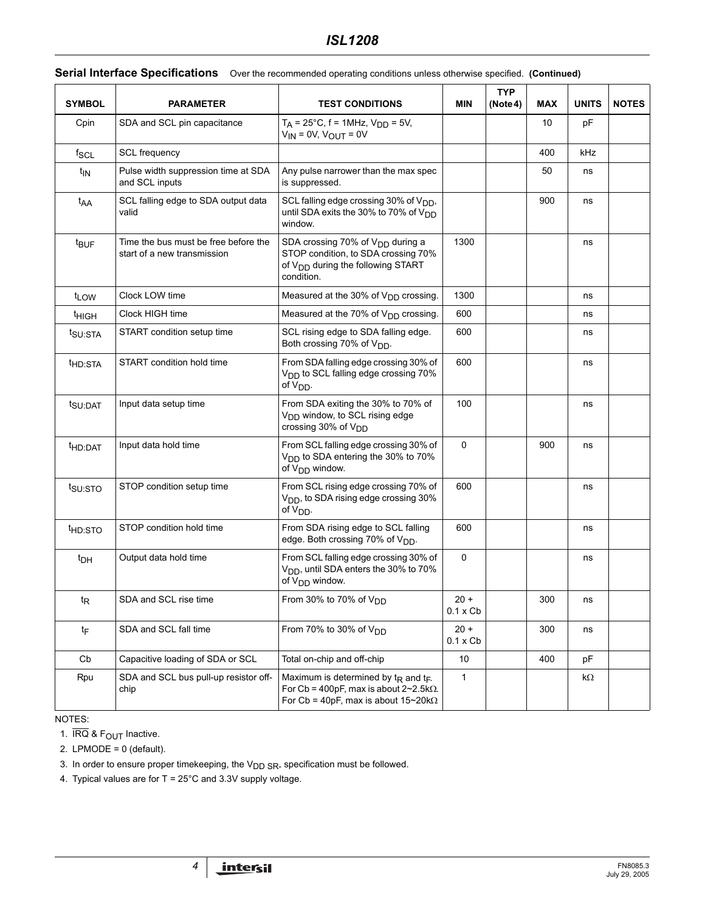| <b>SYMBOL</b>       | <b>PARAMETER</b>                                                    | <b>TEST CONDITIONS</b>                                                                                                                             | MIN                       | <b>TYP</b> | <b>MAX</b> | <b>UNITS</b> | <b>NOTES</b> |
|---------------------|---------------------------------------------------------------------|----------------------------------------------------------------------------------------------------------------------------------------------------|---------------------------|------------|------------|--------------|--------------|
| Cpin                | SDA and SCL pin capacitance                                         | $T_A$ = 25°C, f = 1MHz, $V_{DD}$ = 5V,<br>$V_{IN}$ = 0V, $V_{OUT}$ = 0V                                                                            |                           | (Note 4)   | 10         | pF           |              |
| $f_{SCL}$           | <b>SCL</b> frequency                                                |                                                                                                                                                    |                           |            | 400        | kHz          |              |
| t <sub>IN</sub>     | Pulse width suppression time at SDA<br>and SCL inputs               | Any pulse narrower than the max spec<br>is suppressed.                                                                                             |                           |            | 50         | ns           |              |
| t <sub>AA</sub>     | SCL falling edge to SDA output data<br>valid                        | SCL falling edge crossing 30% of V <sub>DD</sub> ,<br>until SDA exits the 30% to 70% of $V_{DD}$<br>window.                                        |                           |            | 900        | ns           |              |
| t <sub>BUF</sub>    | Time the bus must be free before the<br>start of a new transmission | SDA crossing 70% of $V_{DD}$ during a<br>STOP condition, to SDA crossing 70%<br>of V <sub>DD</sub> during the following START<br>condition.        | 1300                      |            |            | ns           |              |
| t <sub>LOW</sub>    | Clock LOW time                                                      | Measured at the 30% of V <sub>DD</sub> crossing.                                                                                                   | 1300                      |            |            | ns           |              |
| <sup>t</sup> HIGH   | Clock HIGH time                                                     | Measured at the 70% of $V_{DD}$ crossing.                                                                                                          | 600                       |            |            | ns           |              |
| t <sub>SU:STA</sub> | START condition setup time                                          | SCL rising edge to SDA falling edge.<br>Both crossing 70% of V <sub>DD</sub> .                                                                     | 600                       |            |            | ns           |              |
| t <sub>HD:STA</sub> | START condition hold time                                           | From SDA falling edge crossing 30% of<br>V <sub>DD</sub> to SCL falling edge crossing 70%<br>of V <sub>DD</sub> .                                  | 600                       |            |            | ns           |              |
| t <sub>SU:DAT</sub> | Input data setup time                                               | From SDA exiting the 30% to 70% of<br>V <sub>DD</sub> window, to SCL rising edge<br>crossing 30% of V <sub>DD</sub>                                | 100                       |            |            | ns           |              |
| <sup>t</sup> HD:DAT | Input data hold time                                                | From SCL falling edge crossing 30% of<br>V <sub>DD</sub> to SDA entering the 30% to 70%<br>of $V_{DD}$ window.                                     | $\Omega$                  |            | 900        | ns           |              |
| t <sub>SU:STO</sub> | STOP condition setup time                                           | From SCL rising edge crossing 70% of<br>V <sub>DD</sub> , to SDA rising edge crossing 30%<br>of $V_{DD}$ .                                         | 600                       |            |            | ns           |              |
| <sup>t</sup> HD:STO | STOP condition hold time                                            | From SDA rising edge to SCL falling<br>edge. Both crossing 70% of V <sub>DD</sub> .                                                                | 600                       |            |            | ns           |              |
| t <sub>DH</sub>     | Output data hold time                                               | From SCL falling edge crossing 30% of<br>V <sub>DD</sub> , until SDA enters the 30% to 70%<br>of $V_{DD}$ window.                                  | 0                         |            |            | ns           |              |
| $t_{\mathsf{R}}$    | SDA and SCL rise time                                               | From 30% to 70% of $V_{DD}$                                                                                                                        | 20 +<br>$0.1 \times Cb$   |            | 300        | ns           |              |
| $t_{\mathsf{F}}$    | SDA and SCL fall time                                               | From 70% to 30% of $V_{DD}$                                                                                                                        | $20 +$<br>$0.1 \times Cb$ |            | 300        | ns           |              |
| Cb                  | Capacitive loading of SDA or SCL                                    | Total on-chip and off-chip                                                                                                                         | 10                        |            | 400        | pF           |              |
| Rpu                 | SDA and SCL bus pull-up resistor off-<br>chip                       | Maximum is determined by $t_R$ and $t_F$ .<br>For Cb = 400pF, max is about $2 \sim 2.5$ k $\Omega$ .<br>For Cb = 40pF, max is about $15-20k\Omega$ | $\mathbf{1}$              |            |            | k $\Omega$   |              |

#### **Serial Interface Specifications** Over the recommended operating conditions unless otherwise specified. **(Continued)**

NOTES:

1.  $\overline{\text{IRQ}}$  &  $F_{\text{OUT}}$  Inactive.

2. LPMODE =  $0$  (default).

3. In order to ensure proper timekeeping, the  $V_{DD SR}$  specification must be followed.

4. Typical values are for  $T = 25^{\circ}$ C and 3.3V supply voltage.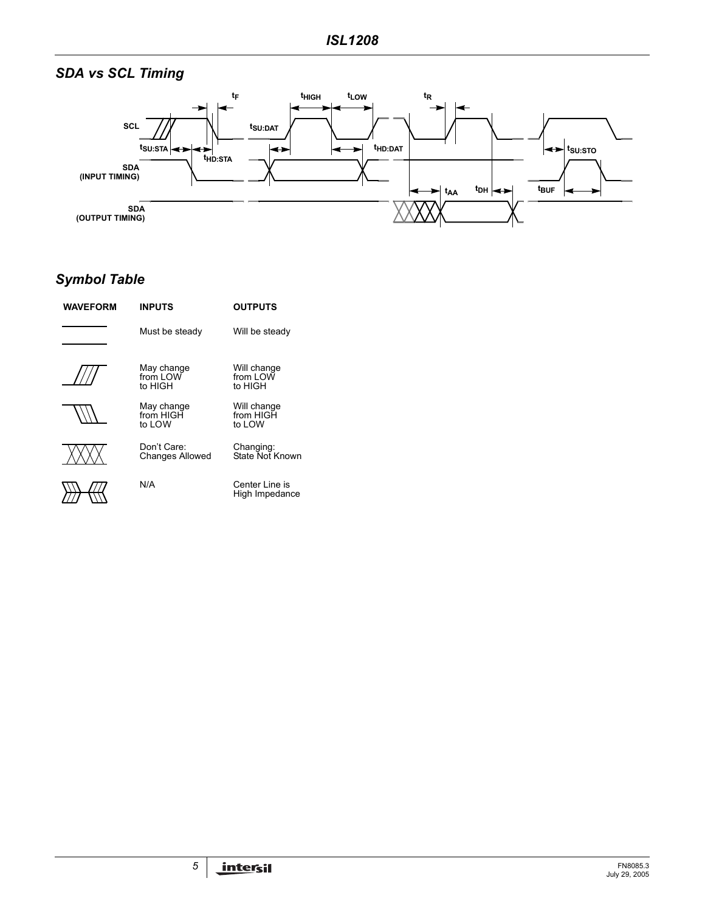# *SDA vs SCL Timing*



# *Symbol Table*

| <b>WAVEFORM</b> | <b>INPUTS</b>                         | <b>OUTPUTS</b>                     |
|-----------------|---------------------------------------|------------------------------------|
|                 | Must be steady                        | Will be steady                     |
|                 | May change<br>from LOW<br>to HIGH     | Will change<br>from LOW<br>to HIGH |
|                 | May change<br>from HIGH<br>to LOW     | Will change<br>from HIGH<br>to LOW |
|                 | Don't Care:<br><b>Changes Allowed</b> | Changing:<br>State Not Known       |
|                 | N/A                                   | Center Line is<br>High Impedance   |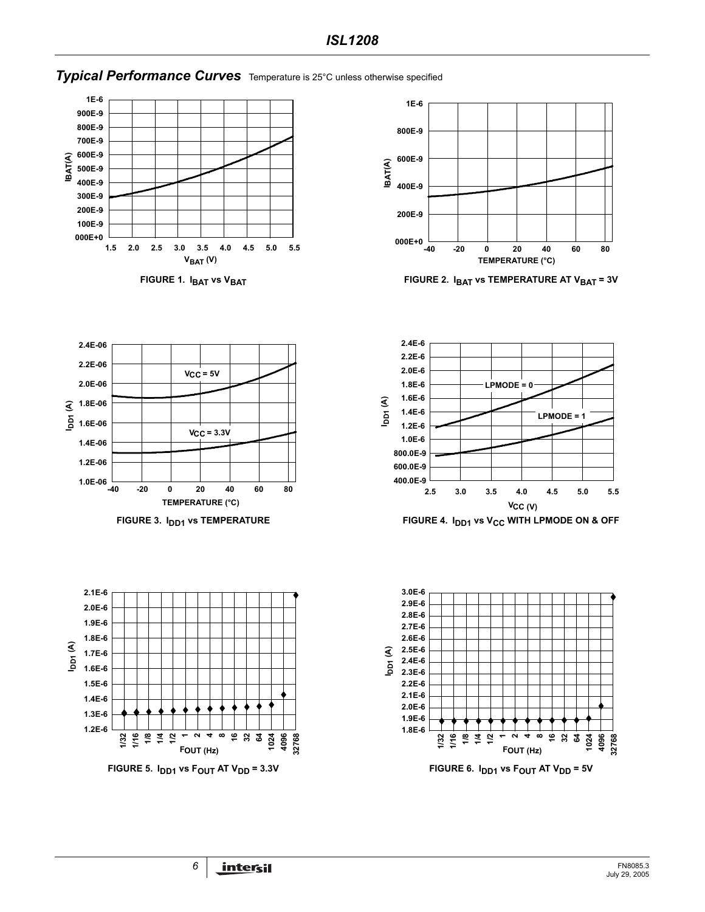# *Typical Performance Curves* Temperature is 25°C unless otherwise specified







FIGURE 1. I<sub>BAT</sub> vs V<sub>BAT</sub> **FIGURE 2. I<sub>BAT</sub> vs TEMPERATURE AT V<sub>BAT</sub> = 3V** 

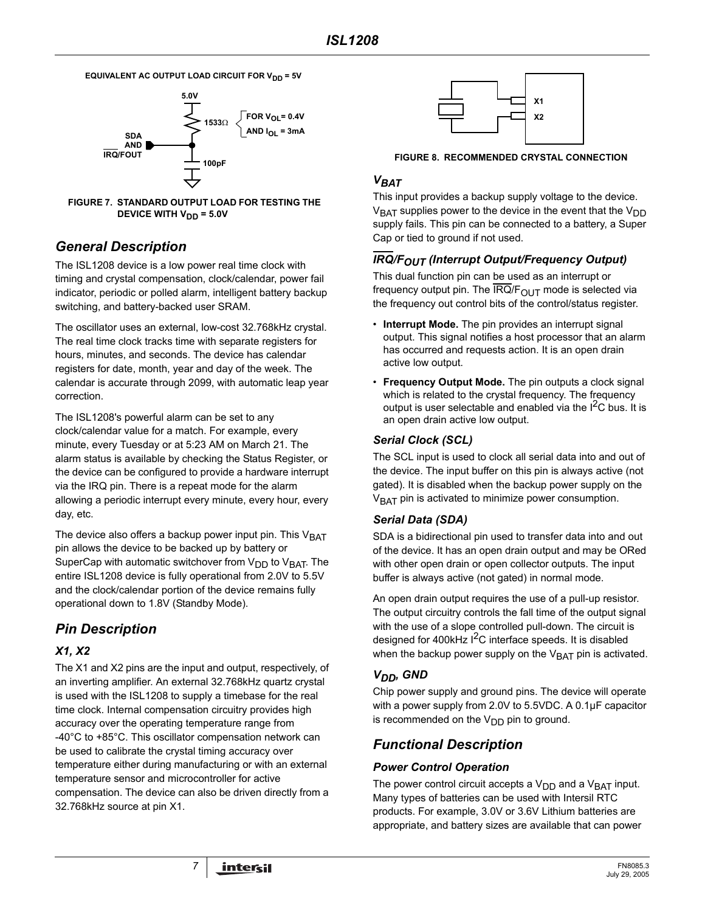**EQUIVALENT AC OUTPUT LOAD CIRCUIT FOR V<sub>DD</sub> = 5V** 





# *General Description*

The ISL1208 device is a low power real time clock with timing and crystal compensation, clock/calendar, power fail indicator, periodic or polled alarm, intelligent battery backup switching, and battery-backed user SRAM.

The oscillator uses an external, low-cost 32.768kHz crystal. The real time clock tracks time with separate registers for hours, minutes, and seconds. The device has calendar registers for date, month, year and day of the week. The calendar is accurate through 2099, with automatic leap year correction.

The ISL1208's powerful alarm can be set to any clock/calendar value for a match. For example, every minute, every Tuesday or at 5:23 AM on March 21. The alarm status is available by checking the Status Register, or the device can be configured to provide a hardware interrupt via the IRQ pin. There is a repeat mode for the alarm allowing a periodic interrupt every minute, every hour, every day, etc.

The device also offers a backup power input pin. This  $V<sub>BAT</sub>$ pin allows the device to be backed up by battery or SuperCap with automatic switchover from  $V_{DD}$  to  $V_{BAT}$ . The entire ISL1208 device is fully operational from 2.0V to 5.5V and the clock/calendar portion of the device remains fully operational down to 1.8V (Standby Mode).

# *Pin Description*

# *X1, X2*

The X1 and X2 pins are the input and output, respectively, of an inverting amplifier. An external 32.768kHz quartz crystal is used with the ISL1208 to supply a timebase for the real time clock. Internal compensation circuitry provides high accuracy over the operating temperature range from -40°C to +85°C. This oscillator compensation network can be used to calibrate the crystal timing accuracy over temperature either during manufacturing or with an external temperature sensor and microcontroller for active compensation. The device can also be driven directly from a 32.768kHz source at pin X1.



**FIGURE 8. RECOMMENDED CRYSTAL CONNECTION**

## *VBAT*

This input provides a backup supply voltage to the device.  $V<sub>BAT</sub>$  supplies power to the device in the event that the  $V<sub>DD</sub>$ supply fails. This pin can be connected to a battery, a Super Cap or tied to ground if not used.

# *IRQ/FOUT (Interrupt Output/Frequency Output)*

This dual function pin can be used as an interrupt or frequency output pin. The IRQ/ $F_{OUT}$  mode is selected via the frequency out control bits of the control/status register.

- **Interrupt Mode.** The pin provides an interrupt signal output. This signal notifies a host processor that an alarm has occurred and requests action. It is an open drain active low output.
- **Frequency Output Mode.** The pin outputs a clock signal which is related to the crystal frequency. The frequency output is user selectable and enabled via the  $I^2C$  bus. It is an open drain active low output.

### *Serial Clock (SCL)*

The SCL input is used to clock all serial data into and out of the device. The input buffer on this pin is always active (not gated). It is disabled when the backup power supply on the  $V<sub>BAT</sub>$  pin is activated to minimize power consumption.

# *Serial Data (SDA)*

SDA is a bidirectional pin used to transfer data into and out of the device. It has an open drain output and may be ORed with other open drain or open collector outputs. The input buffer is always active (not gated) in normal mode.

An open drain output requires the use of a pull-up resistor. The output circuitry controls the fall time of the output signal with the use of a slope controlled pull-down. The circuit is designed for 400kHz  $1<sup>2</sup>C$  interface speeds. It is disabled when the backup power supply on the  $V<sub>BAT</sub>$  pin is activated.

# *VDD, GND*

Chip power supply and ground pins. The device will operate with a power supply from 2.0V to 5.5VDC. A 0.1µF capacitor is recommended on the  $V_{DD}$  pin to ground.

# *Functional Description*

### *Power Control Operation*

The power control circuit accepts a  $V_{DD}$  and a  $V_{BAT}$  input. Many types of batteries can be used with Intersil RTC products. For example, 3.0V or 3.6V Lithium batteries are appropriate, and battery sizes are available that can power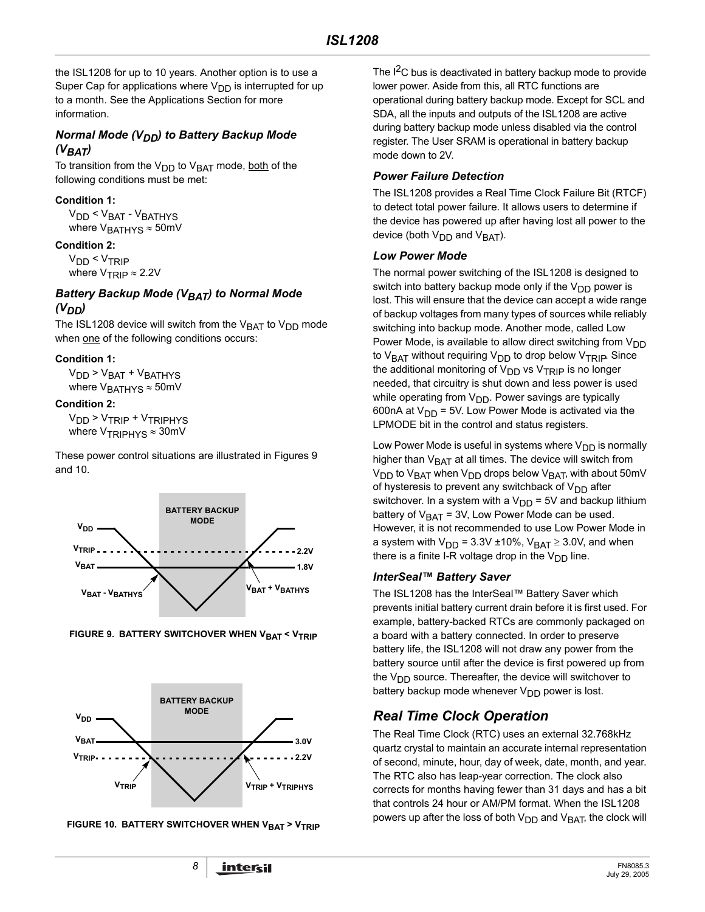the ISL1208 for up to 10 years. Another option is to use a Super Cap for applications where  $V_{DD}$  is interrupted for up to a month. See the Applications Section for more information.

#### *Normal Mode (V<sub>DD</sub>) to Battery Backup Mode (VBAT)*

To transition from the  $V_{DD}$  to  $V_{BAT}$  mode, both of the following conditions must be met:

#### **Condition 1:**

V<sub>DD</sub> < V<sub>BAT</sub> - V<sub>BATHYS</sub> where  $V_{\text{BATHYS}} \approx 50 \text{mV}$ 

#### **Condition 2:**

V<sub>DD</sub> < V<sub>TRIP</sub> where  $V_{TRIP} \approx 2.2V$ 

#### **Battery Backup Mode (VBAT) to Normal Mode** *(VDD)*

The ISL1208 device will switch from the  $V<sub>BAT</sub>$  to  $V<sub>DD</sub>$  mode when one of the following conditions occurs:

#### **Condition 1:**

 $V<sub>DD</sub> > V<sub>BAT</sub> + V<sub>BATHYS</sub>$ where  $V<sub>BATHYS</sub> \approx 50$ mV

#### **Condition 2:**

V<sub>DD</sub> > V<sub>TRIP</sub> + V<sub>TRIPHYS</sub> where  $V_{TRIPHYS} \approx 30$  mV

These power control situations are illustrated in Figures [9](#page-7-0)  and [10](#page-7-1).



<span id="page-7-0"></span>



<span id="page-7-1"></span>**FIGURE 10. BATTERY SWITCHOVER WHEN VBAT > VTRIP** 

The  $I^2C$  bus is deactivated in battery backup mode to provide lower power. Aside from this, all RTC functions are operational during battery backup mode. Except for SCL and SDA, all the inputs and outputs of the ISL1208 are active during battery backup mode unless disabled via the control register. The User SRAM is operational in battery backup mode down to 2V.

#### *Power Failure Detection*

The ISL1208 provides a Real Time Clock Failure Bit (RTCF) to detect total power failure. It allows users to determine if the device has powered up after having lost all power to the device (both  $V_{\text{DD}}$  and  $V_{\text{BAT}}$ ).

#### *Low Power Mode*

The normal power switching of the ISL1208 is designed to switch into battery backup mode only if the  $V_{DD}$  power is lost. This will ensure that the device can accept a wide range of backup voltages from many types of sources while reliably switching into backup mode. Another mode, called Low Power Mode, is available to allow direct switching from  $V_{DD}$ to V<sub>BAT</sub> without requiring V<sub>DD</sub> to drop below V<sub>TRIP</sub>. Since the additional monitoring of  $V_{\text{DD}}$  vs  $V_{\text{TRIP}}$  is no longer needed, that circuitry is shut down and less power is used while operating from  $V_{DD}$ . Power savings are typically 600nA at  $V_{DD}$  = 5V. Low Power Mode is activated via the LPMODE bit in the control and status registers.

Low Power Mode is useful in systems where  $V_{DD}$  is normally higher than  $V_{\text{BAT}}$  at all times. The device will switch from  $V_{DD}$  to  $V_{BAT}$  when  $V_{DD}$  drops below  $V_{BAT}$ , with about 50mV of hysteresis to prevent any switchback of  $V_{DD}$  after switchover. In a system with a  $V_{DD}$  = 5V and backup lithium battery of  $V<sub>BAT</sub> = 3V$ , Low Power Mode can be used. However, it is not recommended to use Low Power Mode in a system with  $V_{DD}$  = 3.3V ±10%,  $V_{BAT} \geq 3.0V$ , and when there is a finite I-R voltage drop in the  $V_{DD}$  line.

#### *InterSeal™ Battery Saver*

The ISL1208 has the InterSeal™ Battery Saver which prevents initial battery current drain before it is first used. For example, battery-backed RTCs are commonly packaged on a board with a battery connected. In order to preserve battery life, the ISL1208 will not draw any power from the battery source until after the device is first powered up from the  $V_{DD}$  source. Thereafter, the device will switchover to battery backup mode whenever  $V_{\text{DD}}$  power is lost.

# *Real Time Clock Operation*

The Real Time Clock (RTC) uses an external 32.768kHz quartz crystal to maintain an accurate internal representation of second, minute, hour, day of week, date, month, and year. The RTC also has leap-year correction. The clock also corrects for months having fewer than 31 days and has a bit that controls 24 hour or AM/PM format. When the ISL1208 powers up after the loss of both  $V_{DD}$  and  $V_{BAT}$ , the clock will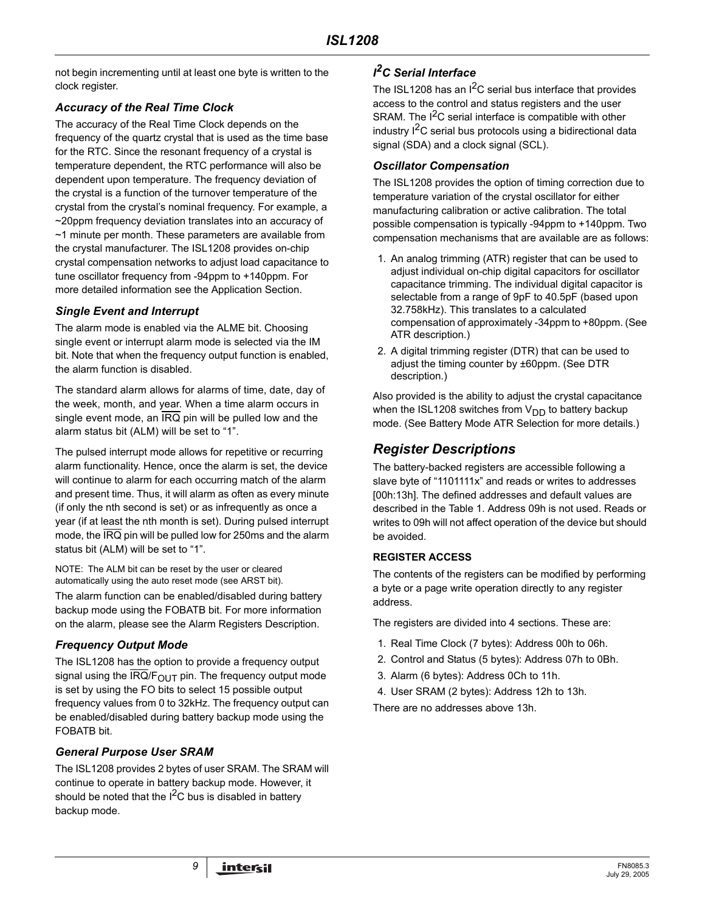not begin incrementing until at least one byte is written to the clock register.

## *Accuracy of the Real Time Clock*

The accuracy of the Real Time Clock depends on the frequency of the quartz crystal that is used as the time base for the RTC. Since the resonant frequency of a crystal is temperature dependent, the RTC performance will also be dependent upon temperature. The frequency deviation of the crystal is a function of the turnover temperature of the crystal from the crystal's nominal frequency. For example, a ~20ppm frequency deviation translates into an accuracy of ~1 minute per month. These parameters are available from the crystal manufacturer. The ISL1208 provides on-chip crystal compensation networks to adjust load capacitance to tune oscillator frequency from -94ppm to +140ppm. For more detailed information see the Application Section.

### *Single Event and Interrupt*

The alarm mode is enabled via the ALME bit. Choosing single event or interrupt alarm mode is selected via the IM bit. Note that when the frequency output function is enabled, the alarm function is disabled.

The standard alarm allows for alarms of time, date, day of the week, month, and year. When a time alarm occurs in single event mode, an  $\overline{\text{IRQ}}$  pin will be pulled low and the alarm status bit (ALM) will be set to "1".

The pulsed interrupt mode allows for repetitive or recurring alarm functionality. Hence, once the alarm is set, the device will continue to alarm for each occurring match of the alarm and present time. Thus, it will alarm as often as every minute (if only the nth second is set) or as infrequently as once a year (if at least the nth month is set). During pulsed interrupt mode, the IRQ pin will be pulled low for 250ms and the alarm status bit (ALM) will be set to "1".

NOTE: The ALM bit can be reset by the user or cleared automatically using the auto reset mode (see ARST bit).

The alarm function can be enabled/disabled during battery backup mode using the FOBATB bit. For more information on the alarm, please see the Alarm Registers Description.

### *Frequency Output Mode*

The ISL1208 has the option to provide a frequency output signal using the IRQ/ $F_{OUT}$  pin. The frequency output mode is set by using the FO bits to select 15 possible output frequency values from 0 to 32kHz. The frequency output can be enabled/disabled during battery backup mode using the FOBATB bit.

### *General Purpose User SRAM*

The ISL1208 provides 2 bytes of user SRAM. The SRAM will continue to operate in battery backup mode. However, it should be noted that the  $I^2C$  bus is disabled in battery backup mode.

# *I 2C Serial Interface*

The ISL1208 has an  $I^2C$  serial bus interface that provides access to the control and status registers and the user SRAM. The  $I^2C$  serial interface is compatible with other industry  $I^2C$  serial bus protocols using a bidirectional data signal (SDA) and a clock signal (SCL).

### *Oscillator Compensation*

The ISL1208 provides the option of timing correction due to temperature variation of the crystal oscillator for either manufacturing calibration or active calibration. The total possible compensation is typically -94ppm to +140ppm. Two compensation mechanisms that are available are as follows:

- 1. An analog trimming (ATR) register that can be used to adjust individual on-chip digital capacitors for oscillator capacitance trimming. The individual digital capacitor is selectable from a range of 9pF to 40.5pF (based upon 32.758kHz). This translates to a calculated compensation of approximately -34ppm to +80ppm. (See ATR description.)
- 2. A digital trimming register (DTR) that can be used to adjust the timing counter by ±60ppm. (See DTR description.)

Also provided is the ability to adjust the crystal capacitance when the ISL1208 switches from  $V_{DD}$  to battery backup mode. (See Battery Mode ATR Selection for more details.)

# *Register Descriptions*

The battery-backed registers are accessible following a slave byte of "1101111x" and reads or writes to addresses [00h:13h]. The defined addresses and default values are described in the Table 1. Address 09h is not used. Reads or writes to 09h will not affect operation of the device but should be avoided.

#### **REGISTER ACCESS**

The contents of the registers can be modified by performing a byte or a page write operation directly to any register address.

The registers are divided into 4 sections. These are:

- 1. Real Time Clock (7 bytes): Address 00h to 06h.
- 2. Control and Status (5 bytes): Address 07h to 0Bh.
- 3. Alarm (6 bytes): Address 0Ch to 11h.
- 4. User SRAM (2 bytes): Address 12h to 13h.

There are no addresses above 13h.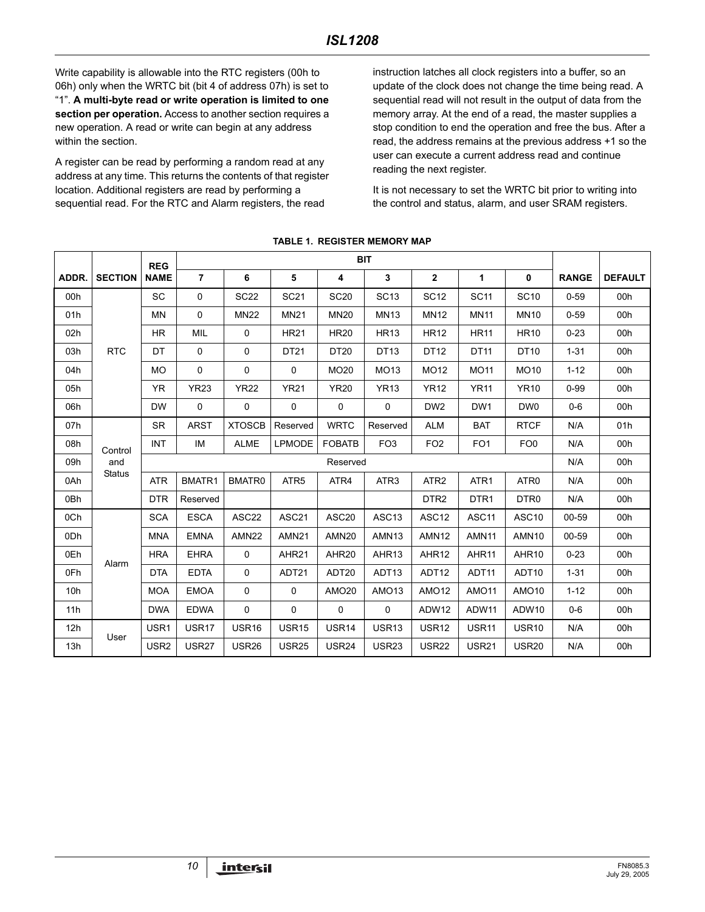Write capability is allowable into the RTC registers (00h to 06h) only when the WRTC bit (bit 4 of address 07h) is set to "1". **A multi-byte read or write operation is limited to one section per operation.** Access to another section requires a new operation. A read or write can begin at any address within the section.

A register can be read by performing a random read at any address at any time. This returns the contents of that register location. Additional registers are read by performing a sequential read. For the RTC and Alarm registers, the read

instruction latches all clock registers into a buffer, so an update of the clock does not change the time being read. A sequential read will not result in the output of data from the memory array. At the end of a read, the master supplies a stop condition to end the operation and free the bus. After a read, the address remains at the previous address +1 so the user can execute a current address read and continue reading the next register.

It is not necessary to set the WRTC bit prior to writing into the control and status, alarm, and user SRAM registers.

|       |                | <b>REG</b>       |                | <b>BIT</b>        |                   |                   |                   |                   |                   |                   |              |                |
|-------|----------------|------------------|----------------|-------------------|-------------------|-------------------|-------------------|-------------------|-------------------|-------------------|--------------|----------------|
| ADDR. | <b>SECTION</b> | <b>NAME</b>      | $\overline{7}$ | 6                 | 5                 | 4                 | 3                 | $\mathbf{2}$      | 1                 | 0                 | <b>RANGE</b> | <b>DEFAULT</b> |
| 00h   |                | <b>SC</b>        | $\mathbf 0$    | <b>SC22</b>       | <b>SC21</b>       | <b>SC20</b>       | <b>SC13</b>       | <b>SC12</b>       | <b>SC11</b>       | <b>SC10</b>       | $0 - 59$     | 00h            |
| 01h   |                | <b>MN</b>        | $\mathbf 0$    | <b>MN22</b>       | <b>MN21</b>       | <b>MN20</b>       | <b>MN13</b>       | <b>MN12</b>       | <b>MN11</b>       | <b>MN10</b>       | $0 - 59$     | 00h            |
| 02h   |                | <b>HR</b>        | MIL            | 0                 | <b>HR21</b>       | <b>HR20</b>       | <b>HR13</b>       | <b>HR12</b>       | <b>HR11</b>       | <b>HR10</b>       | $0 - 23$     | 00h            |
| 03h   | <b>RTC</b>     | DT               | $\mathbf 0$    | 0                 | DT21              | DT20              | DT13              | DT12              | <b>DT11</b>       | <b>DT10</b>       | $1 - 31$     | 00h            |
| 04h   |                | <b>MO</b>        | $\mathbf 0$    | 0                 | $\mathbf 0$       | MO20              | MO13              | <b>MO12</b>       | <b>MO11</b>       | <b>MO10</b>       | $1 - 12$     | 00h            |
| 05h   |                | <b>YR</b>        | <b>YR23</b>    | <b>YR22</b>       | <b>YR21</b>       | <b>YR20</b>       | <b>YR13</b>       | <b>YR12</b>       | <b>YR11</b>       | <b>YR10</b>       | $0 - 99$     | 00h            |
| 06h   |                | <b>DW</b>        | 0              | 0                 | 0                 | 0                 | 0                 | DW <sub>2</sub>   | DW <sub>1</sub>   | DW0               | $0-6$        | 00h            |
| 07h   |                | <b>SR</b>        | <b>ARST</b>    | <b>XTOSCB</b>     | Reserved          | <b>WRTC</b>       | Reserved          | <b>ALM</b>        | <b>BAT</b>        | <b>RTCF</b>       | N/A          | 01h            |
| 08h   | Control        | INT              | IM             | <b>ALME</b>       | <b>LPMODE</b>     | <b>FOBATB</b>     | FO <sub>3</sub>   | FO <sub>2</sub>   | FO <sub>1</sub>   | FO <sub>0</sub>   | N/A          | 00h            |
| 09h   | and            |                  |                |                   |                   | Reserved          |                   |                   |                   |                   | N/A          | 00h            |
| 0Ah   | <b>Status</b>  | <b>ATR</b>       | BMATR1         | BMATR0            | ATR <sub>5</sub>  | ATR4              | ATR <sub>3</sub>  | ATR <sub>2</sub>  | ATR <sub>1</sub>  | ATR <sub>0</sub>  | N/A          | 00h            |
| 0Bh   |                | <b>DTR</b>       | Reserved       |                   |                   |                   |                   | DTR <sub>2</sub>  | DTR <sub>1</sub>  | DTR <sub>0</sub>  | N/A          | 00h            |
| 0Ch   |                | <b>SCA</b>       | <b>ESCA</b>    | ASC22             | ASC21             | ASC20             | ASC <sub>13</sub> | ASC <sub>12</sub> | ASC <sub>11</sub> | ASC <sub>10</sub> | 00-59        | 00h            |
| 0Dh   |                | <b>MNA</b>       | <b>EMNA</b>    | AMN <sub>22</sub> | AMN <sub>21</sub> | AMN <sub>20</sub> | AMN <sub>13</sub> | AMN <sub>12</sub> | AMN <sub>11</sub> | AMN <sub>10</sub> | 00-59        | 00h            |
| 0Eh   | Alarm          | <b>HRA</b>       | <b>EHRA</b>    | 0                 | AHR21             | AHR20             | AHR <sub>13</sub> | AHR12             | AHR11             | AHR10             | $0 - 23$     | 00h            |
| 0Fh   |                | <b>DTA</b>       | <b>EDTA</b>    | 0                 | ADT21             | ADT20             | ADT <sub>13</sub> | ADT12             | ADT11             | ADT10             | $1 - 31$     | 00h            |
| 10h   |                | <b>MOA</b>       | <b>EMOA</b>    | 0                 | 0                 | AMO <sub>20</sub> | AMO <sub>13</sub> | AMO <sub>12</sub> | <b>AMO11</b>      | AMO <sub>10</sub> | $1 - 12$     | 00h            |
| 11h   |                | <b>DWA</b>       | <b>EDWA</b>    | 0                 | $\mathbf 0$       | 0                 | $\mathbf 0$       | ADW12             | ADW11             | ADW10             | $0-6$        | 00h            |
| 12h   | User           | USR1             | USR17          | USR <sub>16</sub> | <b>USR15</b>      | USR14             | USR13             | USR12             | USR <sub>11</sub> | USR <sub>10</sub> | N/A          | 00h            |
| 13h   |                | USR <sub>2</sub> | <b>USR27</b>   | <b>USR26</b>      | <b>USR25</b>      | <b>USR24</b>      | <b>USR23</b>      | <b>USR22</b>      | <b>USR21</b>      | <b>USR20</b>      | N/A          | 00h            |

#### **TABLE 1. REGISTER MEMORY MAP**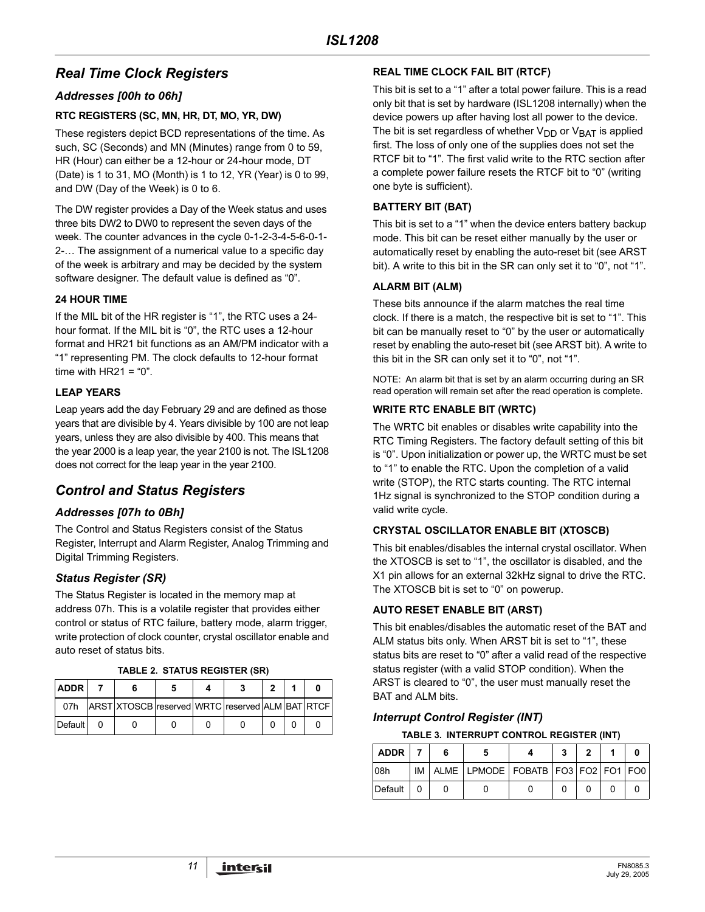# *Real Time Clock Registers*

#### *Addresses [00h to 06h]*

#### **RTC REGISTERS (SC, MN, HR, DT, MO, YR, DW)**

These registers depict BCD representations of the time. As such, SC (Seconds) and MN (Minutes) range from 0 to 59, HR (Hour) can either be a 12-hour or 24-hour mode, DT (Date) is 1 to 31, MO (Month) is 1 to 12, YR (Year) is 0 to 99, and DW (Day of the Week) is 0 to 6.

The DW register provides a Day of the Week status and uses three bits DW2 to DW0 to represent the seven days of the week. The counter advances in the cycle 0-1-2-3-4-5-6-0-1- 2-… The assignment of a numerical value to a specific day of the week is arbitrary and may be decided by the system software designer. The default value is defined as "0".

#### **24 HOUR TIME**

If the MIL bit of the HR register is "1", the RTC uses a 24 hour format. If the MIL bit is "0", the RTC uses a 12-hour format and HR21 bit functions as an AM/PM indicator with a "1" representing PM. The clock defaults to 12-hour format time with  $HR21 = 0$ ".

#### **LEAP YEARS**

Leap years add the day February 29 and are defined as those years that are divisible by 4. Years divisible by 100 are not leap years, unless they are also divisible by 400. This means that the year 2000 is a leap year, the year 2100 is not. The ISL1208 does not correct for the leap year in the year 2100.

# *Control and Status Registers*

#### *Addresses [07h to 0Bh]*

The Control and Status Registers consist of the Status Register, Interrupt and Alarm Register, Analog Trimming and Digital Trimming Registers.

### *Status Register (SR)*

The Status Register is located in the memory map at address 07h. This is a volatile register that provides either control or status of RTC failure, battery mode, alarm trigger, write protection of clock counter, crystal oscillator enable and auto reset of status bits.

| <b>ADDR</b> |                                                 |  |  |  |
|-------------|-------------------------------------------------|--|--|--|
| 07h         | ARST XTOSCB reserved WRTC reserved ALM BAT RTCF |  |  |  |
| Default     |                                                 |  |  |  |

#### **TABLE 2. STATUS REGISTER (SR)**

#### **REAL TIME CLOCK FAIL BIT (RTCF)**

This bit is set to a "1" after a total power failure. This is a read only bit that is set by hardware (ISL1208 internally) when the device powers up after having lost all power to the device. The bit is set regardless of whether  $V_{DD}$  or  $V_{BAT}$  is applied first. The loss of only one of the supplies does not set the RTCF bit to "1". The first valid write to the RTC section after a complete power failure resets the RTCF bit to "0" (writing one byte is sufficient).

#### **BATTERY BIT (BAT)**

This bit is set to a "1" when the device enters battery backup mode. This bit can be reset either manually by the user or automatically reset by enabling the auto-reset bit (see ARST bit). A write to this bit in the SR can only set it to "0", not "1".

#### **ALARM BIT (ALM)**

These bits announce if the alarm matches the real time clock. If there is a match, the respective bit is set to "1". This bit can be manually reset to "0" by the user or automatically reset by enabling the auto-reset bit (see ARST bit). A write to this bit in the SR can only set it to "0", not "1".

NOTE: An alarm bit that is set by an alarm occurring during an SR read operation will remain set after the read operation is complete.

#### **WRITE RTC ENABLE BIT (WRTC)**

The WRTC bit enables or disables write capability into the RTC Timing Registers. The factory default setting of this bit is "0". Upon initialization or power up, the WRTC must be set to "1" to enable the RTC. Upon the completion of a valid write (STOP), the RTC starts counting. The RTC internal 1Hz signal is synchronized to the STOP condition during a valid write cycle.

#### **CRYSTAL OSCILLATOR ENABLE BIT (XTOSCB)**

This bit enables/disables the internal crystal oscillator. When the XTOSCB is set to "1", the oscillator is disabled, and the X1 pin allows for an external 32kHz signal to drive the RTC. The XTOSCB bit is set to "0" on powerup.

#### **AUTO RESET ENABLE BIT (ARST)**

This bit enables/disables the automatic reset of the BAT and ALM status bits only. When ARST bit is set to "1", these status bits are reset to "0" after a valid read of the respective status register (with a valid STOP condition). When the ARST is cleared to "0", the user must manually reset the BAT and ALM bits.

#### *Interrupt Control Register (INT)*

**TABLE 3. INTERRUPT CONTROL REGISTER (INT)**

| ADDR    |  |                                                   |  |  |  |
|---------|--|---------------------------------------------------|--|--|--|
| 08h     |  | IM ALME   LPMODE   FOBATB   FO3   FO2   FO1   FO0 |  |  |  |
| Default |  |                                                   |  |  |  |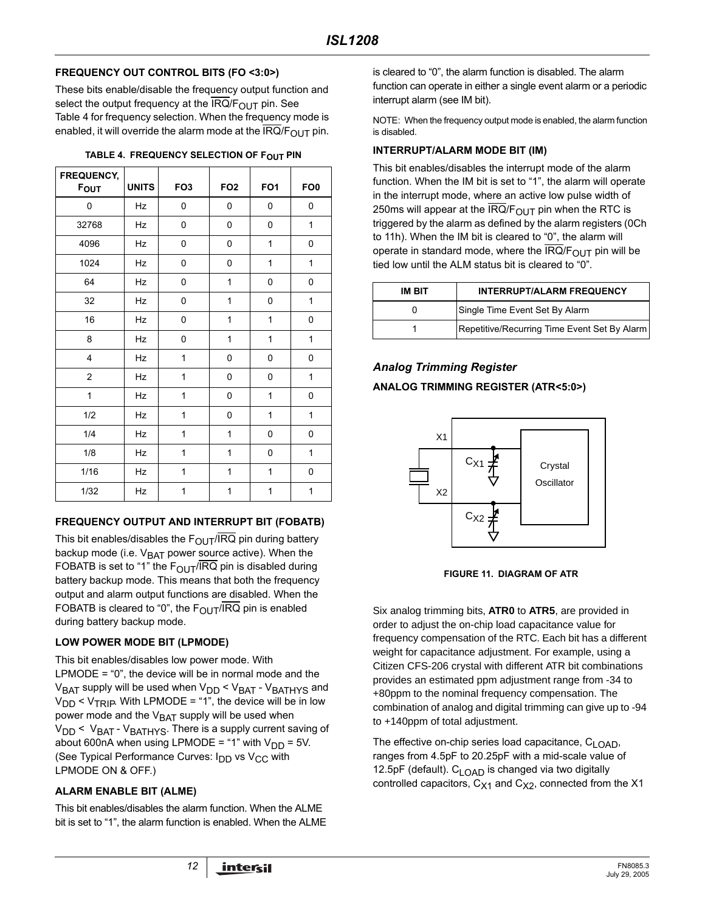#### **FREQUENCY OUT CONTROL BITS (FO <3:0>)**

These bits enable/disable the frequency output function and select the output frequency at the  $IRQ/F<sub>OUT</sub>$  pin. See Table 4 for frequency selection. When the frequency mode is enabled, it will override the alarm mode at the  $IRQ/F<sub>OUT</sub>$  pin.

| TABLE 4. FREQUENCY SELECTION OF F <sub>OUT</sub> PIN |  |  |
|------------------------------------------------------|--|--|
|------------------------------------------------------|--|--|

| FREQUENCY,<br><b>FOUT</b> | <b>UNITS</b> | FO <sub>3</sub> | FO <sub>2</sub> | FO <sub>1</sub> | FO <sub>0</sub> |
|---------------------------|--------------|-----------------|-----------------|-----------------|-----------------|
| 0                         | Hz           | 0               | 0               | 0               | 0               |
| 32768                     | Hz           | 0               | 0               | 0               | 1               |
| 4096                      | Hz           | 0               | 0               | 1               | 0               |
| 1024                      | Hz           | 0               | 0               | 1               | 1               |
| 64                        | Hz           | 0               | 1               | 0               | 0               |
| 32                        | Hz           | 0               | $\mathbf{1}$    | 0               | 1               |
| 16                        | Hz           | 0               | $\mathbf{1}$    | 1               | 0               |
| 8                         | Hz           | 0               | $\mathbf{1}$    | 1               | 1               |
| $\overline{4}$            | Hz           | 1               | 0               | 0               | 0               |
| $\overline{\mathbf{c}}$   | Hz           | 1               | 0               | 0               | 1               |
| 1                         | Hz           | $\mathbf{1}$    | 0               | 1               | 0               |
| 1/2                       | Hz           | $\mathbf{1}$    | 0               | 1               | 1               |
| 1/4                       | Hz           | 1               | 1               | 0               | 0               |
| 1/8                       | Hz           | 1               | 1               | 0               | 1               |
| 1/16                      | Hz           | 1               | 1               | 1               | 0               |
| 1/32                      | Hz           | 1               | 1               | 1               | 1               |

#### **FREQUENCY OUTPUT AND INTERRUPT BIT (FOBATB)**

This bit enables/disables the  $F_{\text{OUT}}/\overline{IRQ}$  pin during battery backup mode (i.e.  $V_{\text{BAT}}$  power source active). When the FOBATB is set to "1" the  $F_{\text{OUT}}/IRQ$  pin is disabled during battery backup mode. This means that both the frequency output and alarm output functions are disabled. When the FOBATB is cleared to "0", the  $F_{\text{OUT}}/\overline{IRQ}$  pin is enabled during battery backup mode.

### **LOW POWER MODE BIT (LPMODE)**

This bit enables/disables low power mode. With LPMODE = "0", the device will be in normal mode and the V<sub>BAT</sub> supply will be used when V<sub>DD</sub> < V<sub>BAT</sub> - V<sub>BATHYS</sub> and  $V_{DD}$  <  $V_{TRIP}$ . With LPMODE = "1", the device will be in low power mode and the  $V<sub>BAT</sub>$  supply will be used when  $V_{DD}$  <  $V_{BAT}$  -  $V_{BATHYS}$ . There is a supply current saving of about 600nA when using LPMODE = "1" with  $V_{DD}$  = 5V. (See Typical Performance Curves:  $I_{DD}$  vs  $V_{CC}$  with LPMODE ON & OFF.)

#### **ALARM ENABLE BIT (ALME)**

This bit enables/disables the alarm function. When the ALME bit is set to "1", the alarm function is enabled. When the ALME is cleared to "0", the alarm function is disabled. The alarm function can operate in either a single event alarm or a periodic interrupt alarm (see IM bit).

NOTE: When the frequency output mode is enabled, the alarm function is disabled.

#### **INTERRUPT/ALARM MODE BIT (IM)**

This bit enables/disables the interrupt mode of the alarm function. When the IM bit is set to "1", the alarm will operate in the interrupt mode, where an active low pulse width of 250ms will appear at the IRQ/ $F_{\text{OUT}}$  pin when the RTC is triggered by the alarm as defined by the alarm registers (0Ch to 11h). When the IM bit is cleared to "0", the alarm will operate in standard mode, where the  $IRQ/F<sub>OUT</sub>$  pin will be tied low until the ALM status bit is cleared to "0".

| IM BIT | <b>INTERRUPT/ALARM FREQUENCY</b>             |
|--------|----------------------------------------------|
|        | Single Time Event Set By Alarm               |
|        | Repetitive/Recurring Time Event Set By Alarm |

## *Analog Trimming Register*

#### **ANALOG TRIMMING REGISTER (ATR<5:0>)**



**FIGURE 11. DIAGRAM OF ATR**

Six analog trimming bits, **ATR0** to **ATR5**, are provided in order to adjust the on-chip load capacitance value for frequency compensation of the RTC. Each bit has a different weight for capacitance adjustment. For example, using a Citizen CFS-206 crystal with different ATR bit combinations provides an estimated ppm adjustment range from -34 to +80ppm to the nominal frequency compensation. The combination of analog and digital trimming can give up to -94 to +140ppm of total adjustment.

The effective on-chip series load capacitance, C<sub>LOAD</sub>, ranges from 4.5pF to 20.25pF with a mid-scale value of 12.5pF (default). C<sub>LOAD</sub> is changed via two digitally controlled capacitors,  $C_{X1}$  and  $C_{X2}$ , connected from the X1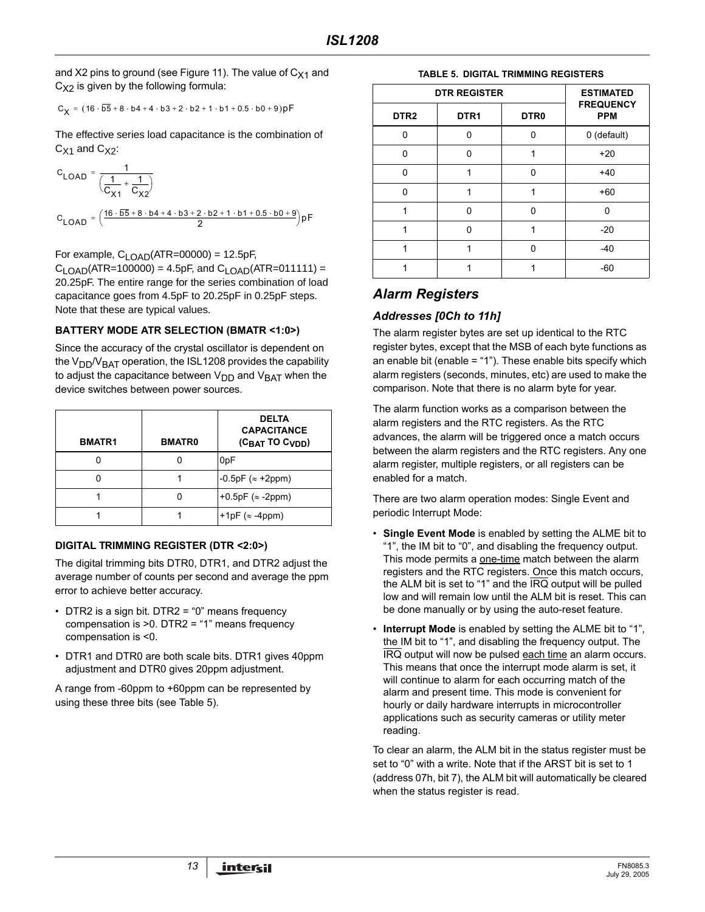and X2 pins to ground (see Figure 11). The value of  $C_{X1}$  and  $C_{X2}$  is given by the following formula:

$$
C_X = \big(16\cdot\overline{\text{b5}} + 8\cdot\text{b4} + 4\cdot\text{b3} + 2\cdot\text{b2} + 1\cdot\text{b1} + 0.5\cdot\text{b0} + 9\big)\text{pF}
$$

The effective series load capacitance is the combination of  $C_{X1}$  and  $C_{X2}$ :

$$
C_{LOAD} = \frac{1}{\left(\frac{1}{C_{X1}} + \frac{1}{C_{X2}}\right)}
$$
  

$$
C_{LOAD} = \left(\frac{16 \cdot \overline{b5} + 8 \cdot b4 + 4 \cdot b3 + 2 \cdot b2 + 1 \cdot b1 + 0.5 \cdot b0 + 9}{2}\right) pF
$$

For example,  $C_{1 \text{ OAD}}$ (ATR=00000) = 12.5pF,

 $C_{\text{LOAD}}$ (ATR=100000) = 4.5pF, and  $C_{\text{LOAD}}$ (ATR=011111) = 20.25pF. The entire range for the series combination of load capacitance goes from 4.5pF to 20.25pF in 0.25pF steps. Note that these are typical values.

#### **BATTERY MODE ATR SELECTION (BMATR <1:0>)**

Since the accuracy of the crystal oscillator is dependent on the  $V_{DD}/V_{BAT}$  operation, the ISL1208 provides the capability to adjust the capacitance between  $V_{DD}$  and  $V_{BAT}$  when the device switches between power sources.

| <b>BMATR1</b> | <b>BMATR0</b> | <b>DELTA</b><br><b>CAPACITANCE</b><br>$(C_{BAT}$ TO $C_{VDD}$ ) |
|---------------|---------------|-----------------------------------------------------------------|
|               |               | 0 <sub>pF</sub>                                                 |
|               |               | $-0.5pF ( \approx +2ppm)$                                       |
|               |               | +0.5pF $(\approx -2$ ppm)                                       |
|               |               | +1pF $(\approx -4$ ppm)                                         |

#### **DIGITAL TRIMMING REGISTER (DTR <2:0>)**

The digital trimming bits DTR0, DTR1, and DTR2 adjust the average number of counts per second and average the ppm error to achieve better accuracy.

- DTR2 is a sign bit. DTR2 = "0" means frequency compensation is >0. DTR2 = "1" means frequency compensation is <0.
- DTR1 and DTR0 are both scale bits. DTR1 gives 40ppm adjustment and DTR0 gives 20ppm adjustment.

A range from -60ppm to +60ppm can be represented by using these three bits (see Table 5).

#### **TABLE 5. DIGITAL TRIMMING REGISTERS**

|                  | <b>DTR REGISTER</b> |                  |                                |  |  |  |  |  |  |  |
|------------------|---------------------|------------------|--------------------------------|--|--|--|--|--|--|--|
| DTR <sub>2</sub> | DTR <sub>1</sub>    | DTR <sub>0</sub> | <b>FREQUENCY</b><br><b>PPM</b> |  |  |  |  |  |  |  |
| 0                | O                   | U                | 0 (default)                    |  |  |  |  |  |  |  |
| U                | ŋ                   |                  | $+20$                          |  |  |  |  |  |  |  |
| $\Omega$         |                     | O                | $+40$                          |  |  |  |  |  |  |  |
| 0                |                     |                  | $+60$                          |  |  |  |  |  |  |  |
|                  | n                   | n                | n                              |  |  |  |  |  |  |  |
|                  | ŋ                   |                  | $-20$                          |  |  |  |  |  |  |  |
|                  |                     | n                | $-40$                          |  |  |  |  |  |  |  |
|                  |                     |                  | $-60$                          |  |  |  |  |  |  |  |

# *Alarm Registers*

## *Addresses [0Ch to 11h]*

The alarm register bytes are set up identical to the RTC register bytes, except that the MSB of each byte functions as an enable bit (enable = "1"). These enable bits specify which alarm registers (seconds, minutes, etc) are used to make the comparison. Note that there is no alarm byte for year.

The alarm function works as a comparison between the alarm registers and the RTC registers. As the RTC advances, the alarm will be triggered once a match occurs between the alarm registers and the RTC registers. Any one alarm register, multiple registers, or all registers can be enabled for a match.

There are two alarm operation modes: Single Event and periodic Interrupt Mode:

- **Single Event Mode** is enabled by setting the ALME bit to "1", the IM bit to "0", and disabling the frequency output. This mode permits a one-time match between the alarm registers and the RTC registers. Once this match occurs, the ALM bit is set to "1" and the IRQ output will be pulled low and will remain low until the ALM bit is reset. This can be done manually or by using the auto-reset feature.
- **Interrupt Mode** is enabled by setting the ALME bit to "1", the IM bit to "1", and disabling the frequency output. The IRQ output will now be pulsed each time an alarm occurs. This means that once the interrupt mode alarm is set, it will continue to alarm for each occurring match of the alarm and present time. This mode is convenient for hourly or daily hardware interrupts in microcontroller applications such as security cameras or utility meter reading.

To clear an alarm, the ALM bit in the status register must be set to "0" with a write. Note that if the ARST bit is set to 1 (address 07h, bit 7), the ALM bit will automatically be cleared when the status register is read.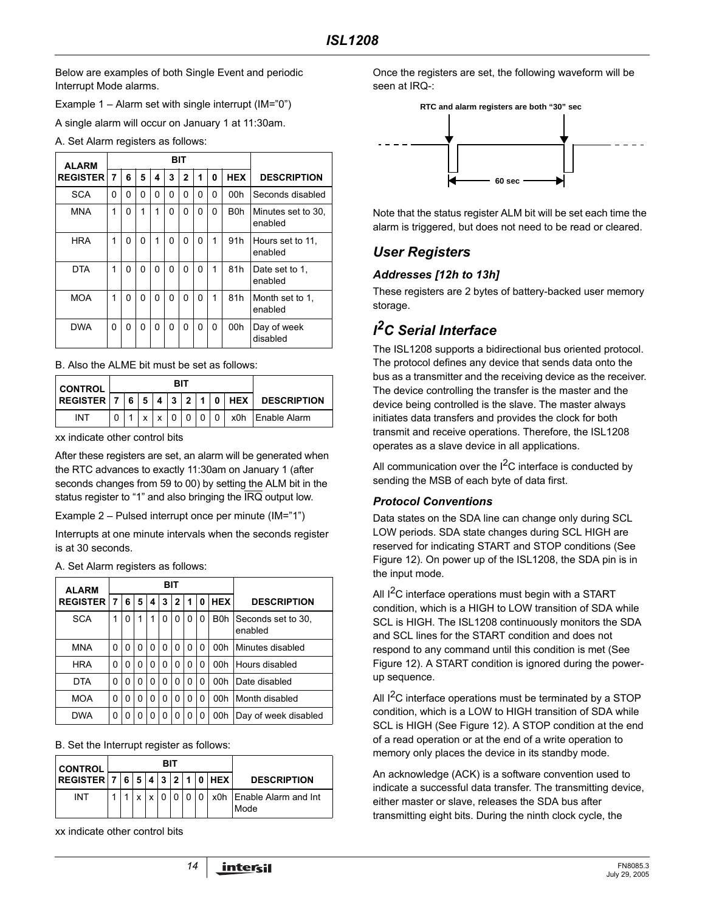Below are examples of both Single Event and periodic Interrupt Mode alarms.

Example  $1 -$  Alarm set with single interrupt (IM="0")

A single alarm will occur on January 1 at 11:30am.

A. Set Alarm registers as follows:

| <b>ALARM</b>    |   |   |   |          |   |   |          |   |                  |                               |
|-----------------|---|---|---|----------|---|---|----------|---|------------------|-------------------------------|
| <b>REGISTER</b> | 7 | 6 | 5 | 4        | 3 | 2 | 1        | 0 | <b>HEX</b>       | <b>DESCRIPTION</b>            |
| <b>SCA</b>      | 0 | 0 | 0 | $\Omega$ | 0 | 0 | 0        | 0 | 00h              | Seconds disabled              |
| <b>MNA</b>      | 1 | 0 | 1 | 1        | 0 | 0 | 0        | 0 | B <sub>0</sub> h | Minutes set to 30.<br>enabled |
| <b>HRA</b>      | 1 | 0 | 0 | 1        | 0 | 0 | 0        | 1 | 91 <sub>h</sub>  | Hours set to 11.<br>enabled   |
| <b>DTA</b>      | 1 | 0 | 0 | $\Omega$ | O | 0 | $\Omega$ | 1 | 81h              | Date set to 1.<br>enabled     |
| <b>MOA</b>      | 1 | 0 | 0 | $\Omega$ | 0 | 0 | 0        | 1 | 81h              | Month set to 1.<br>enabled    |
| <b>DWA</b>      | 0 | 0 | 0 | $\Omega$ | 0 | 0 | 0        | 0 | 00h              | Day of week<br>disabled       |

B. Also the ALME bit must be set as follows:

| <b>CONTROL</b>    |  |   |   |  |  |  |                               |
|-------------------|--|---|---|--|--|--|-------------------------------|
| <b>REGISTER 7</b> |  |   |   |  |  |  | 6 5 4 3 2 1 0 HEX DESCRIPTION |
| INT               |  | Y | x |  |  |  | 0   x0h Enable Alarm          |

xx indicate other control bits

After these registers are set, an alarm will be generated when the RTC advances to exactly 11:30am on January 1 (after seconds changes from 59 to 00) by setting the ALM bit in the status register to "1" and also bringing the IRQ output low.

Example 2 – Pulsed interrupt once per minute (IM="1")

Interrupts at one minute intervals when the seconds register is at 30 seconds.

A. Set Alarm registers as follows:

| <b>ALARM</b>    |                                      | BIT |            |                    |   |   |   |   |                  |                               |
|-----------------|--------------------------------------|-----|------------|--------------------|---|---|---|---|------------------|-------------------------------|
| <b>REGISTER</b> | 6<br>5<br>3<br>2<br>7<br>4<br>1<br>0 |     | <b>HEX</b> | <b>DESCRIPTION</b> |   |   |   |   |                  |                               |
| <b>SCA</b>      | 1                                    | 0   | 1          | 1                  | 0 | 0 | 0 | 0 | B <sub>0</sub> h | Seconds set to 30.<br>enabled |
| <b>MNA</b>      | 0                                    | 0   | 0          | 0                  | 0 | 0 | 0 | 0 | 00h              | Minutes disabled              |
| <b>HRA</b>      | 0                                    | 0   | 0          | 0                  | 0 | 0 | 0 | 0 | 00h              | Hours disabled                |
| <b>DTA</b>      | 0                                    | 0   | 0          | 0                  | 0 | 0 | 0 | 0 | 00h              | Date disabled                 |
| <b>MOA</b>      | 0                                    | 0   | ŋ          | 0                  | 0 | 0 | 0 | 0 | 00h              | Month disabled                |
| <b>DWA</b>      | 0                                    | 0   | ი          | 0                  | O | 0 | 0 | 0 | 00h              | Day of week disabled          |

B. Set the Interrupt register as follows:

| <b>CONTROL</b>                       | BIT |  |            |  |  |  |                |               |                                  |
|--------------------------------------|-----|--|------------|--|--|--|----------------|---------------|----------------------------------|
| $REGISTER \mid 7 \mid 6 \mid 5 \mid$ |     |  |            |  |  |  |                | 4 3 2 1 0 HEX | <b>DESCRIPTION</b>               |
| INT                                  |     |  | $\check{}$ |  |  |  | 0 <sub>0</sub> |               | x0h Enable Alarm and Int<br>Mode |

xx indicate other control bits

Once the registers are set, the following waveform will be seen at IRQ-:



Note that the status register ALM bit will be set each time the alarm is triggered, but does not need to be read or cleared.

# *User Registers*

### *Addresses [12h to 13h]*

These registers are 2 bytes of battery-backed user memory storage.

# *I 2C Serial Interface*

The ISL1208 supports a bidirectional bus oriented protocol. The protocol defines any device that sends data onto the bus as a transmitter and the receiving device as the receiver. The device controlling the transfer is the master and the device being controlled is the slave. The master always initiates data transfers and provides the clock for both transmit and receive operations. Therefore, the ISL1208 operates as a slave device in all applications.

All communication over the  $I^2C$  interface is conducted by sending the MSB of each byte of data first.

### *Protocol Conventions*

Data states on the SDA line can change only during SCL LOW periods. SDA state changes during SCL HIGH are reserved for indicating START and STOP conditions (See Figure [12\)](#page-14-0). On power up of the ISL1208, the SDA pin is in the input mode.

All  $1<sup>2</sup>C$  interface operations must begin with a START condition, which is a HIGH to LOW transition of SDA while SCL is HIGH. The ISL1208 continuously monitors the SDA and SCL lines for the START condition and does not respond to any command until this condition is met (See Figure [12](#page-14-0)). A START condition is ignored during the powerup sequence.

All  $1^2$ C interface operations must be terminated by a STOP condition, which is a LOW to HIGH transition of SDA while SCL is HIGH (See Figure [12](#page-14-0)). A STOP condition at the end of a read operation or at the end of a write operation to memory only places the device in its standby mode.

An acknowledge (ACK) is a software convention used to indicate a successful data transfer. The transmitting device, either master or slave, releases the SDA bus after transmitting eight bits. During the ninth clock cycle, the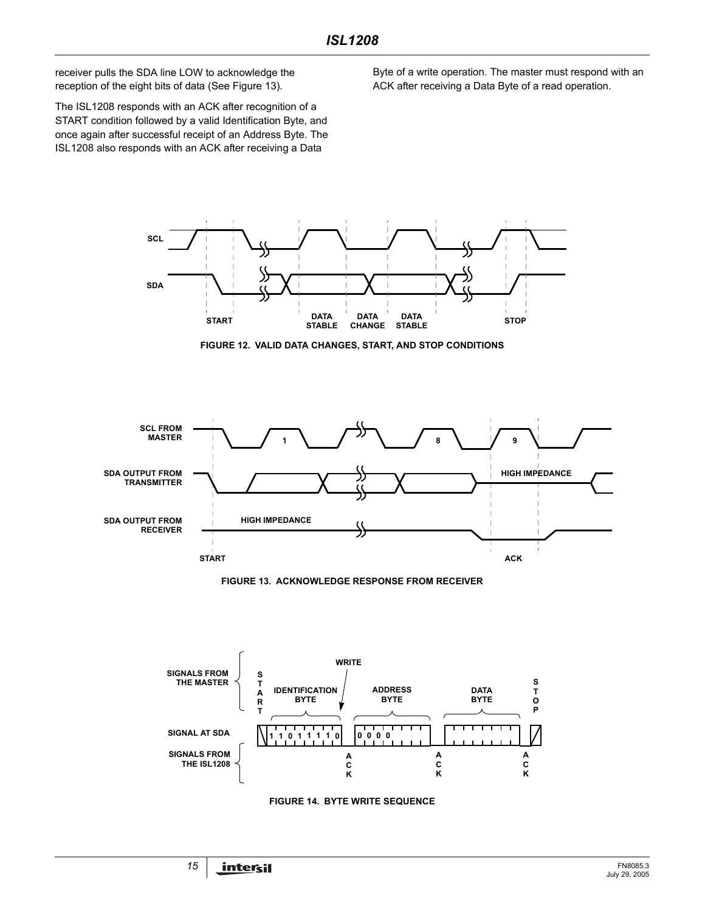receiver pulls the SDA line LOW to acknowledge the reception of the eight bits of data (See Figure [13](#page-14-1)).

The ISL1208 responds with an ACK after recognition of a START condition followed by a valid Identification Byte, and once again after successful receipt of an Address Byte. The ISL1208 also responds with an ACK after receiving a Data

Byte of a write operation. The master must respond with an ACK after receiving a Data Byte of a read operation.



**FIGURE 12. VALID DATA CHANGES, START, AND STOP CONDITIONS**

<span id="page-14-0"></span>

**FIGURE 13. ACKNOWLEDGE RESPONSE FROM RECEIVER**

<span id="page-14-1"></span>

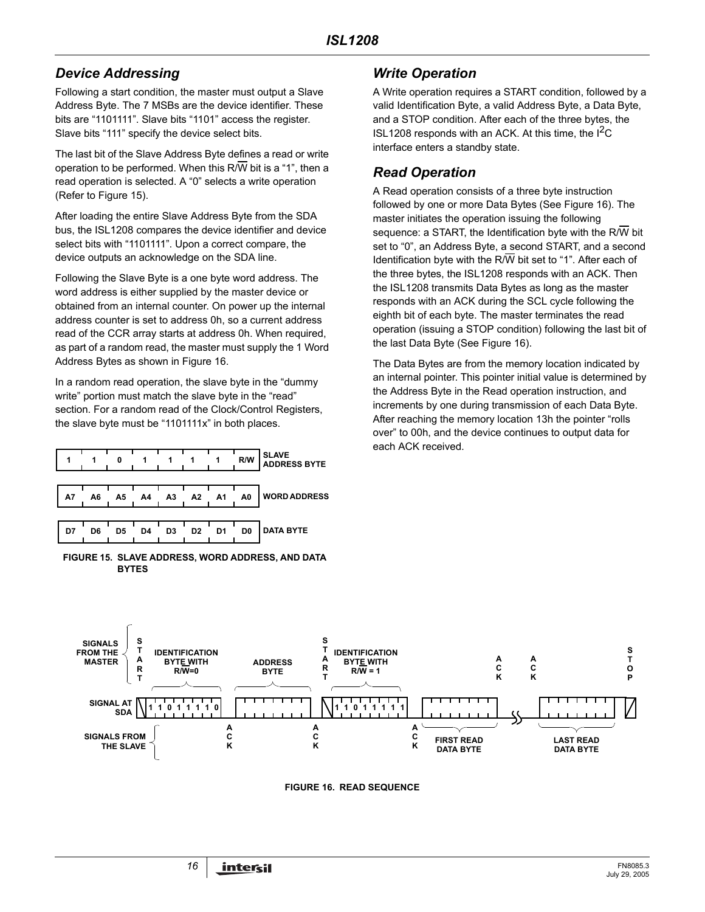# *Device Addressing*

Following a start condition, the master must output a Slave Address Byte. The 7 MSBs are the device identifier. These bits are "1101111". Slave bits "1101" access the register. Slave bits "111" specify the device select bits.

The last bit of the Slave Address Byte defines a read or write operation to be performed. When this R/W bit is a "1", then a read operation is selected. A "0" selects a write operation (Refer to Figure [15](#page-15-0)).

After loading the entire Slave Address Byte from the SDA bus, the ISL1208 compares the device identifier and device select bits with "1101111". Upon a correct compare, the device outputs an acknowledge on the SDA line.

Following the Slave Byte is a one byte word address. The word address is either supplied by the master device or obtained from an internal counter. On power up the internal address counter is set to address 0h, so a current address read of the CCR array starts at address 0h. When required, as part of a random read, the master must supply the 1 Word Address Bytes as shown in Figure [16](#page-15-1).

In a random read operation, the slave byte in the "dummy write" portion must match the slave byte in the "read" section. For a random read of the Clock/Control Registers, the slave byte must be "1101111x" in both places.

|    |    |    |    |                |                |                | R/W | <b>SLAVE</b><br><b>ADDRESS BYTE</b> |
|----|----|----|----|----------------|----------------|----------------|-----|-------------------------------------|
| A7 | A6 | A5 | A4 | A <sub>3</sub> | A2             | <b>A1</b>      | A0  | <b>WORD ADDRESS</b>                 |
| D7 | D6 | D5 | D4 | D3             | D <sub>2</sub> | D <sub>1</sub> | D0  | <b>DATA BYTE</b>                    |

<span id="page-15-0"></span>**FIGURE 15. SLAVE ADDRESS, WORD ADDRESS, AND DATA BYTES**

# *Write Operation*

A Write operation requires a START condition, followed by a valid Identification Byte, a valid Address Byte, a Data Byte, and a STOP condition. After each of the three bytes, the ISL1208 responds with an ACK. At this time, the  $I^2C$ interface enters a standby state.

# *Read Operation*

A Read operation consists of a three byte instruction followed by one or more Data Bytes (See Figure [16](#page-15-1)). The master initiates the operation issuing the following sequence: a START, the Identification byte with the R/W bit set to "0", an Address Byte, a second START, and a second Identification byte with the R/ $\overline{W}$  bit set to "1". After each of the three bytes, the ISL1208 responds with an ACK. Then the ISL1208 transmits Data Bytes as long as the master responds with an ACK during the SCL cycle following the eighth bit of each byte. The master terminates the read operation (issuing a STOP condition) following the last bit of the last Data Byte (See Figure [16\)](#page-15-1).

The Data Bytes are from the memory location indicated by an internal pointer. This pointer initial value is determined by the Address Byte in the Read operation instruction, and increments by one during transmission of each Data Byte. After reaching the memory location 13h the pointer "rolls over" to 00h, and the device continues to output data for each ACK received.

<span id="page-15-1"></span>

**FIGURE 16. READ SEQUENCE**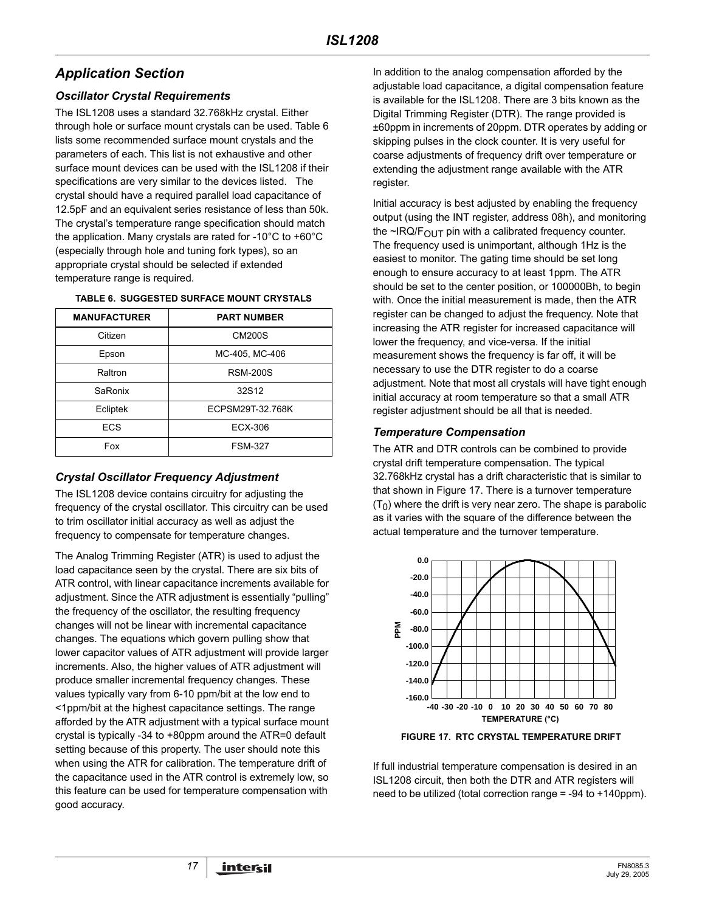# *Application Section*

### *Oscillator Crystal Requirements*

The ISL1208 uses a standard 32.768kHz crystal. Either through hole or surface mount crystals can be used. Table 6 lists some recommended surface mount crystals and the parameters of each. This list is not exhaustive and other surface mount devices can be used with the ISL1208 if their specifications are very similar to the devices listed. The crystal should have a required parallel load capacitance of 12.5pF and an equivalent series resistance of less than 50k. The crystal's temperature range specification should match the application. Many crystals are rated for -10°C to +60°C (especially through hole and tuning fork types), so an appropriate crystal should be selected if extended temperature range is required.

#### **TABLE 6. SUGGESTED SURFACE MOUNT CRYSTALS**

| <b>MANUFACTURER</b> | <b>PART NUMBER</b> |
|---------------------|--------------------|
| Citizen             | <b>CM200S</b>      |
| Epson               | MC-405, MC-406     |
| Raltron             | <b>RSM-200S</b>    |
| SaRonix             | 32S12              |
| Ecliptek            | ECPSM29T-32.768K   |
| ECS                 | ECX-306            |
| Fox                 | <b>FSM-327</b>     |
|                     |                    |

### *Crystal Oscillator Frequency Adjustment*

The ISL1208 device contains circuitry for adjusting the frequency of the crystal oscillator. This circuitry can be used to trim oscillator initial accuracy as well as adjust the frequency to compensate for temperature changes.

The Analog Trimming Register (ATR) is used to adjust the load capacitance seen by the crystal. There are six bits of ATR control, with linear capacitance increments available for adjustment. Since the ATR adjustment is essentially "pulling" the frequency of the oscillator, the resulting frequency changes will not be linear with incremental capacitance changes. The equations which govern pulling show that lower capacitor values of ATR adjustment will provide larger increments. Also, the higher values of ATR adjustment will produce smaller incremental frequency changes. These values typically vary from 6-10 ppm/bit at the low end to <1ppm/bit at the highest capacitance settings. The range afforded by the ATR adjustment with a typical surface mount crystal is typically -34 to +80ppm around the ATR=0 default setting because of this property. The user should note this when using the ATR for calibration. The temperature drift of the capacitance used in the ATR control is extremely low, so this feature can be used for temperature compensation with good accuracy.

In addition to the analog compensation afforded by the adjustable load capacitance, a digital compensation feature is available for the ISL1208. There are 3 bits known as the Digital Trimming Register (DTR). The range provided is ±60ppm in increments of 20ppm. DTR operates by adding or skipping pulses in the clock counter. It is very useful for coarse adjustments of frequency drift over temperature or extending the adjustment range available with the ATR register.

Initial accuracy is best adjusted by enabling the frequency output (using the INT register, address 08h), and monitoring the  $\sim$ IRQ/F<sub>OUT</sub> pin with a calibrated frequency counter. The frequency used is unimportant, although 1Hz is the easiest to monitor. The gating time should be set long enough to ensure accuracy to at least 1ppm. The ATR should be set to the center position, or 100000Bh, to begin with. Once the initial measurement is made, then the ATR register can be changed to adjust the frequency. Note that increasing the ATR register for increased capacitance will lower the frequency, and vice-versa. If the initial measurement shows the frequency is far off, it will be necessary to use the DTR register to do a coarse adjustment. Note that most all crystals will have tight enough initial accuracy at room temperature so that a small ATR register adjustment should be all that is needed.

### *Temperature Compensation*

The ATR and DTR controls can be combined to provide crystal drift temperature compensation. The typical 32.768kHz crystal has a drift characteristic that is similar to that shown in Figure 17. There is a turnover temperature  $(T<sub>0</sub>)$  where the drift is very near zero. The shape is parabolic as it varies with the square of the difference between the actual temperature and the turnover temperature.



**FIGURE 17. RTC CRYSTAL TEMPERATURE DRIFT**

If full industrial temperature compensation is desired in an ISL1208 circuit, then both the DTR and ATR registers will need to be utilized (total correction range = -94 to +140ppm).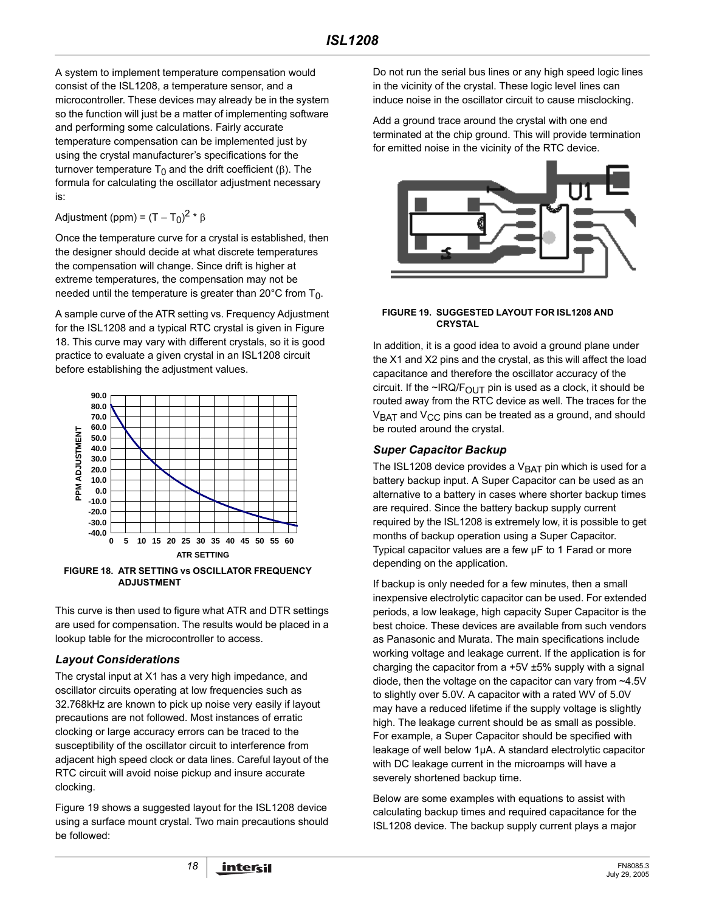A system to implement temperature compensation would consist of the ISL1208, a temperature sensor, and a microcontroller. These devices may already be in the system so the function will just be a matter of implementing software and performing some calculations. Fairly accurate temperature compensation can be implemented just by using the crystal manufacturer's specifications for the turnover temperature  $T_0$  and the drift coefficient (β). The formula for calculating the oscillator adjustment necessary is:

Adjustment (ppm) =  $(T - T_0)^2$  \*  $\beta$ 

Once the temperature curve for a crystal is established, then the designer should decide at what discrete temperatures the compensation will change. Since drift is higher at extreme temperatures, the compensation may not be needed until the temperature is greater than 20 $^{\circ}$ C from T<sub>0</sub>.

A sample curve of the ATR setting vs. Frequency Adjustment for the ISL1208 and a typical RTC crystal is given in Figure 18. This curve may vary with different crystals, so it is good practice to evaluate a given crystal in an ISL1208 circuit before establishing the adjustment values.



**FIGURE 18. ATR SETTING vs OSCILLATOR FREQUENCY ADJUSTMENT**

This curve is then used to figure what ATR and DTR settings are used for compensation. The results would be placed in a lookup table for the microcontroller to access.

# *Layout Considerations*

The crystal input at X1 has a very high impedance, and oscillator circuits operating at low frequencies such as 32.768kHz are known to pick up noise very easily if layout precautions are not followed. Most instances of erratic clocking or large accuracy errors can be traced to the susceptibility of the oscillator circuit to interference from adjacent high speed clock or data lines. Careful layout of the RTC circuit will avoid noise pickup and insure accurate clocking.

Figure 19 shows a suggested layout for the ISL1208 device using a surface mount crystal. Two main precautions should be followed:

Do not run the serial bus lines or any high speed logic lines in the vicinity of the crystal. These logic level lines can induce noise in the oscillator circuit to cause misclocking.

Add a ground trace around the crystal with one end terminated at the chip ground. This will provide termination for emitted noise in the vicinity of the RTC device.



#### **FIGURE 19. SUGGESTED LAYOUT FOR ISL1208 AND CRYSTAL**

In addition, it is a good idea to avoid a ground plane under the X1 and X2 pins and the crystal, as this will affect the load capacitance and therefore the oscillator accuracy of the circuit. If the ~IRQ/ $F_{\text{OUT}}$  pin is used as a clock, it should be routed away from the RTC device as well. The traces for the  $V<sub>BAT</sub>$  and  $V<sub>CC</sub>$  pins can be treated as a ground, and should be routed around the crystal.

### *Super Capacitor Backup*

The ISL1208 device provides a  $V_{\text{BAT}}$  pin which is used for a battery backup input. A Super Capacitor can be used as an alternative to a battery in cases where shorter backup times are required. Since the battery backup supply current required by the ISL1208 is extremely low, it is possible to get months of backup operation using a Super Capacitor. Typical capacitor values are a few µF to 1 Farad or more depending on the application.

If backup is only needed for a few minutes, then a small inexpensive electrolytic capacitor can be used. For extended periods, a low leakage, high capacity Super Capacitor is the best choice. These devices are available from such vendors as Panasonic and Murata. The main specifications include working voltage and leakage current. If the application is for charging the capacitor from a  $+5V \pm 5\%$  supply with a signal diode, then the voltage on the capacitor can vary from ~4.5V to slightly over 5.0V. A capacitor with a rated WV of 5.0V may have a reduced lifetime if the supply voltage is slightly high. The leakage current should be as small as possible. For example, a Super Capacitor should be specified with leakage of well below 1µA. A standard electrolytic capacitor with DC leakage current in the microamps will have a severely shortened backup time.

Below are some examples with equations to assist with calculating backup times and required capacitance for the ISL1208 device. The backup supply current plays a major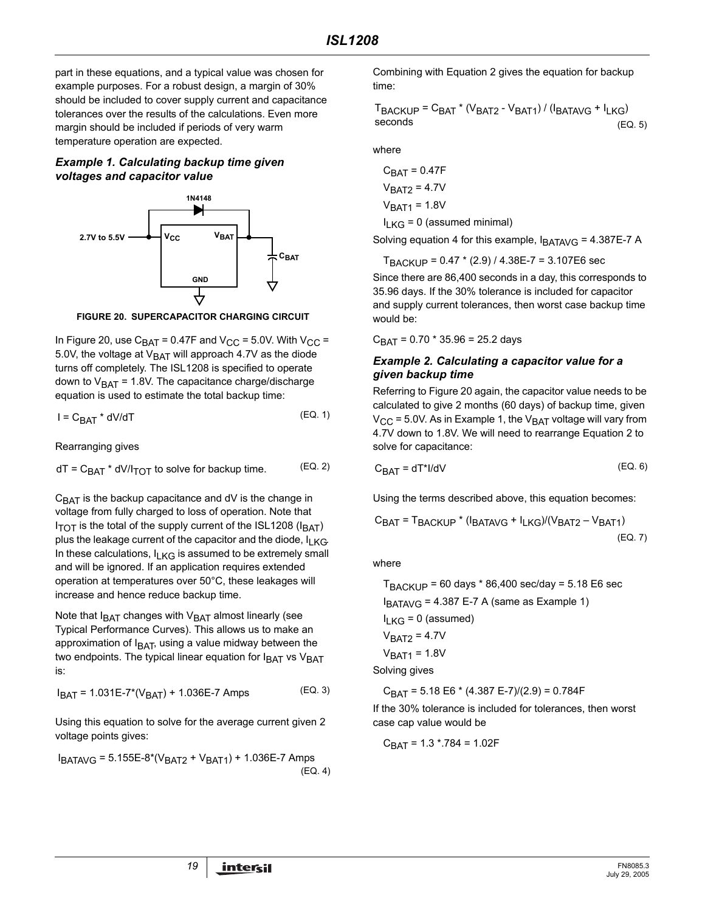part in these equations, and a typical value was chosen for example purposes. For a robust design, a margin of 30% should be included to cover supply current and capacitance tolerances over the results of the calculations. Even more margin should be included if periods of very warm temperature operation are expected.

#### *Example 1. Calculating backup time given voltages and capacitor value*



**FIGURE 20. SUPERCAPACITOR CHARGING CIRCUIT**

In Figure 20, use  $C_{\text{BAT}}$  = 0.47F and  $V_{\text{CC}}$  = 5.0V. With  $V_{\text{CC}}$  = 5.0V, the voltage at  $V_{BAT}$  will approach 4.7V as the diode turns off completely. The ISL1208 is specified to operate down to  $V<sub>BAT</sub>$  = 1.8V. The capacitance charge/discharge equation is used to estimate the total backup time:

$$
I = C_{\text{BAT}} \cdot dV/dT \tag{Eq. 1}
$$

Rearranging gives

$$
dT = C_{BAT} * dV / I_{TOT} \text{ to solve for backup time.} \tag{Eq. 2}
$$

 $C_{\text{BAT}}$  is the backup capacitance and dV is the change in voltage from fully charged to loss of operation. Note that  $I_{\text{TOT}}$  is the total of the supply current of the ISL1208 ( $I_{\text{BAT}}$ ) plus the leakage current of the capacitor and the diode,  $I_{LKG}$ . In these calculations,  $I_{LKG}$  is assumed to be extremely small and will be ignored. If an application requires extended operation at temperatures over 50°C, these leakages will increase and hence reduce backup time.

Note that  $I<sub>BAT</sub>$  changes with  $V<sub>BAT</sub>$  almost linearly (see Typical Performance Curves). This allows us to make an approximation of  $I<sub>BAT</sub>$ , using a value midway between the two endpoints. The typical linear equation for  $I<sub>BAT</sub>$  vs  $V<sub>BAT</sub>$ is:

$$
I_{BAT} = 1.031E-7*(V_{BAT}) + 1.036E-7 \text{ Amps} \tag{Eq. 3}
$$

Using this equation to solve for the average current given 2 voltage points gives:

 $I_{BATAVG}$  = 5.155E-8\*( $V_{BAT2}$  +  $V_{BAT1}$ ) + 1.036E-7 Amps (EQ. 4) Combining with Equation 2 gives the equation for backup time:

 $T_{\text{BACKUP}} = C_{\text{BAT}} * (V_{\text{BAT2}} - V_{\text{BAT1}}) / (I_{\text{BATAVG}} + I_{\text{LKG}})$ seconds (EQ. 5)

where

$$
C_{BAT} = 0.47F
$$
  
\n
$$
V_{BAT1} = 4.7V
$$
  
\n
$$
V_{BAT1} = 1.8V
$$
  
\n
$$
I_{LKG} = 0
$$
 (assumed minimal)

Solving equation 4 for this example,  $I_{\text{BATAVG}} = 4.387E - 7$  A

TBACKUP = 0.47 \* (2.9) / 4.38E-7 = 3.107E6 sec

Since there are 86,400 seconds in a day, this corresponds to 35.96 days. If the 30% tolerance is included for capacitor and supply current tolerances, then worst case backup time would be:

 $C_{BAT} = 0.70 * 35.96 = 25.2$  days

#### *Example 2. Calculating a capacitor value for a given backup time*

Referring to Figure 20 again, the capacitor value needs to be calculated to give 2 months (60 days) of backup time, given  $V_{CC}$  = 5.0V. As in Example 1, the  $V_{BAT}$  voltage will vary from 4.7V down to 1.8V. We will need to rearrange Equation 2 to solve for capacitance:

$$
C_{\text{BAT}} = dT^*I/dV \tag{Eq. 6}
$$

Using the terms described above, this equation becomes:

$$
C_{BAT} = T_{BACKUP} * (I_{BATAVG} + I_{LKG})/(V_{BAT2} - V_{BAT1})
$$
\n(EQ. 7)

where

 $T_{\text{BACKUP}}$  = 60 days  $*$  86,400 sec/day = 5.18 E6 sec  $I_{BATAVG}$  = 4.387 E-7 A (same as Example 1)  $I_{LKG}$  = 0 (assumed)  $V<sub>BAT2</sub> = 4.7V$  $V_{BAT1} = 1.8V$ Solving gives

 $C_{\text{BAT}}$  = 5.18 E6  $*$  (4.387 E-7)/(2.9) = 0.784F

If the 30% tolerance is included for tolerances, then worst case cap value would be

 $C_{\text{BAT}}$  = 1.3  $*$ .784 = 1.02F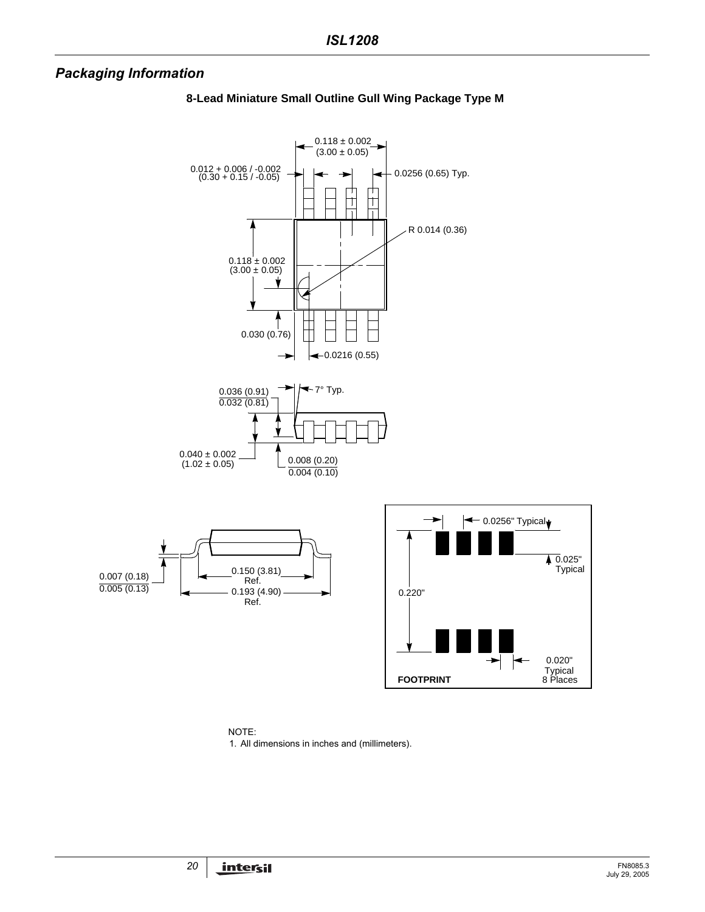# *Packaging Information*



### **8-Lead Miniature Small Outline Gull Wing Package Type M**

NOTE: 1. All dimensions in inches and (millimeters).